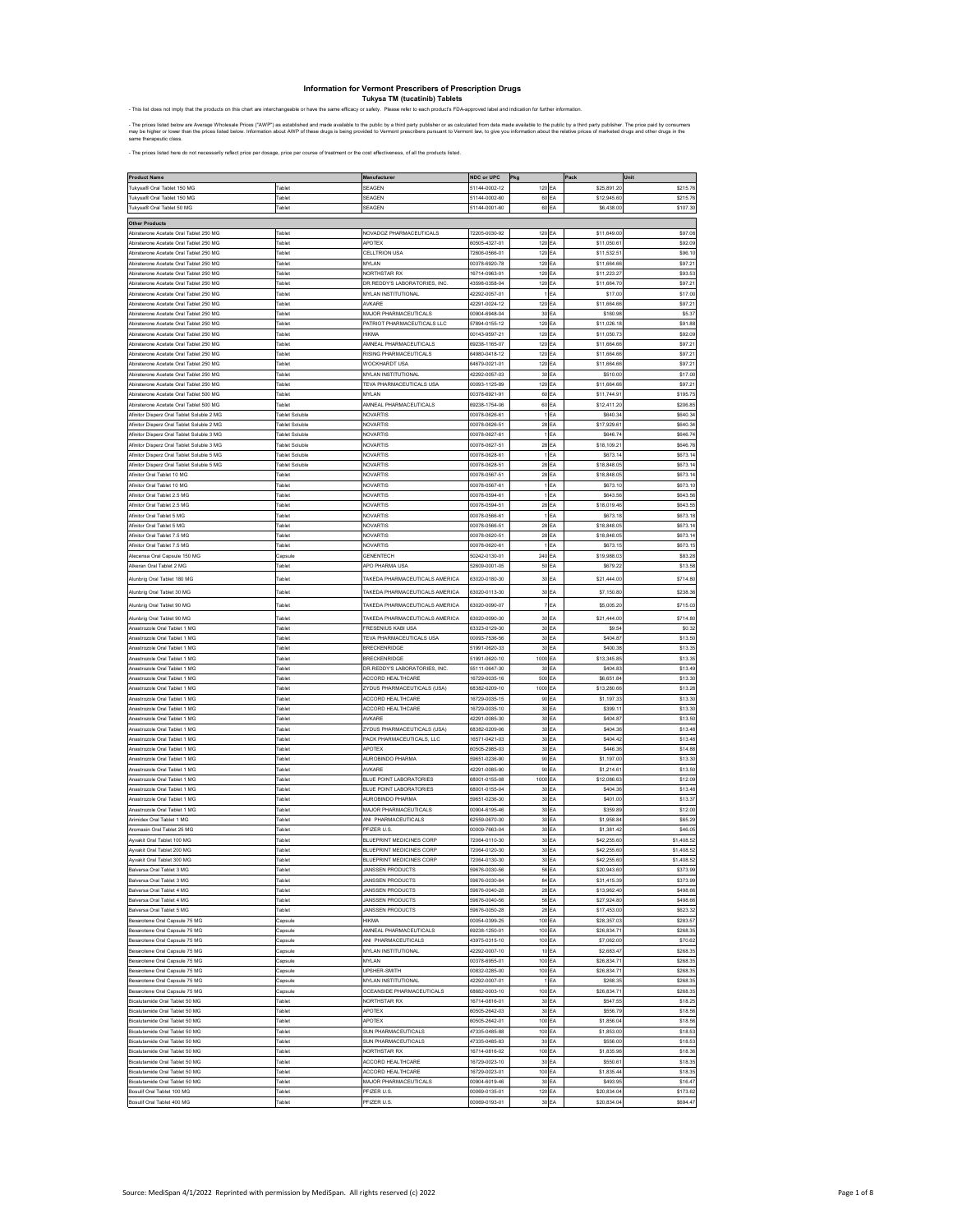Information for Vermont Prescribers of Prescription Drugs<br>Tuly state on our products on this characterize<br>This list does not imply that the products on this character interdengeable or have the same efficacy or safety. Ple

- The prices listed below are Average Wholesale Prices ("AWP") as established and made available to the public by a third party publisher or as calculated from data made available to the public by a third party publisher.

- The prices listed here do not necessarily reflect price per dosage, price per course of treatment or the cost effectiveness, of all the products listed.

| <b>Product Name</b>                       |                | Manufacture                           | NDC or UPC    | Pkg             |    | Pack        | Unit       |
|-------------------------------------------|----------------|---------------------------------------|---------------|-----------------|----|-------------|------------|
| ukvsa® Oral Tablet 150 MG                 | ablet          | <b>SEAGEN</b>                         | 1144-0002-12  | 120             | EA | \$25,891.2  | \$215.76   |
| ukysa® Oral Tablet 150 MG                 | <b>Fablet</b>  |                                       |               |                 |    |             |            |
|                                           |                | <b>SEAGEN</b>                         | 51144-0002-60 | 60 EA           |    | \$12,945.60 | \$215.7    |
| ukysa® Oral Tablet 50 MG                  |                | <b>SEAGEN</b>                         | 1144-0001-60  | 60 EA           |    | \$6,438.00  | \$107.30   |
|                                           |                |                                       |               |                 |    |             |            |
| <b>Other Products</b>                     |                |                                       |               |                 |    |             |            |
| biraterone Acetate Oral Tablet 250 MG     | Tablet         | <b>VOVADOZ PHARMACEUTICALS</b>        | 72205-0030-92 | 120 EA          |    | \$11,649.00 | \$97.08    |
| biraterone Acetate Oral Tablet 250 MG     | <b>Fablet</b>  | APOTEX                                | 0505-4327-01  | 120 EA          |    | \$11,050.6  | \$92.09    |
| biraterone Acetate Oral Tablet 250 MG     | <b>Tablet</b>  | <b>CELLTRION USA</b>                  | 2606-0566-01  | 120             | EA | \$11,532.5  | \$96.10    |
| biraterone Acetate Oral Tablet 250 MG     | <b>Tablet</b>  | <b>MYLAN</b>                          | 10378-6020-78 | 120             | EA | \$11,664.66 | \$97.21    |
|                                           |                |                                       | 6714-0963-01  |                 |    |             |            |
| viraterone Acetate Oral Tablet 250 MG     | ablet          | <b>JORTHSTAR RX</b>                   |               | 120             | EA | \$11,223.27 | \$93.53    |
| biraterone Acetate Oral Tablet 250 MG     | <b>Tablet</b>  | OR.REDDY'S LABORATORIES, INC.         | 13598-0358-04 | 120             | EA | \$11,664.70 | \$97.21    |
| biraterone Acetate Oral Tablet 250 MG     | <b>Fablet</b>  | <b>INSTITUTIONAL</b>                  | 12292-0057-01 |                 | EA | \$17.00     | \$17.00    |
| biraterone Acetate Oral Tablet 250 MG     | ablet          | <b>NXARE</b>                          | 12291-0024-12 | 120 EA          |    | \$11,664.66 | \$97.21    |
| Abiraterone Acetate Oral Tablet 250 MG    | <b>Fablet</b>  | <b>MAJOR PHARMACEUTICALS</b>          | 0904-6948-04  | 30              | EA | \$160.98    | \$5.37     |
|                                           |                |                                       |               |                 |    |             |            |
| biraterone Acetate Oral Tablet 250 MG     | <b>Fablet</b>  | <b>PATRIOT PHARMACEUTICALS LLC</b>    | 7894-0155-12  | 120             | EA | \$11,026.18 | \$91.88    |
| piraterone Acetate Oral Tablet 250 MG     | ablet          |                                       | 0143-9597-21  | 120             | EA | \$11,050.7  | \$92.09    |
| Abiraterone Acetate Oral Tablet 250 MG    | <b>Fablet</b>  | MNEAL PHARMACEUTICALS                 | 39238-1165-07 | 120             | EA | \$11,664.66 | \$97.21    |
| biraterone Acetate Oral Tablet 250 MG     | <b>Fablet</b>  | RISING PHARMACEUTICALS                | 4980-0418-12  | 120 EA          |    | \$11,664.66 | \$97.21    |
|                                           |                |                                       |               |                 |    |             |            |
| biraterone Acetate Oral Tablet 250 MG     | ablet          | WOCKHARDT USA                         | 4679-0021-01  | 120 EA          |    | \$11,664.66 | \$97.21    |
| biraterone Acetate Oral Tablet 250 MG     | Tablet         | <b>MYLAN INSTITUTIONAL</b>            | 12292-0057-03 | 30              | EA | \$510.00    | \$17.00    |
| biraterone Acetate Oral Tablet 250 MG     | <b>Tablet</b>  | <b>TEVA PHARMACEUTICALS USA</b>       | 10093-1125-89 | 120             | EA | \$11,664.66 | \$97.21    |
| raterone Acetate Oral Tablet 500 MG       | ablet          | <b>IYLAN</b>                          | 0378-6921-91  | 60              | EA | \$11,744.9  | \$195.75   |
| biraterone Acetate Oral Tablet 500 MG     | ablet          | MNEAL PHARMACEUTICALS                 | 9238-1754-06  | 60              | EA | \$12,411.20 | \$206.85   |
|                                           |                |                                       |               |                 |    |             |            |
| Minitor Disperz Oral Tablet Soluble 2 MG  | ablet Soluble  | VOVARTIS                              | 0078-0626-61  |                 | EA | \$640.34    | \$640.34   |
| finitor Disperz Oral Tablet Soluble 2 MG  | ablet Soluble  | <b>JOVARTIS</b>                       | 0078-0626-51  | 28              | EA | \$17,929.6  | \$640.34   |
| tfinitor Disperz Oral Tablet Soluble 3 MG | Tablet Soluble | VOVARTIS                              | 00078-0627-61 |                 | EA | \$646.74    | \$646.74   |
| Minitor Disperz Oral Tablet Soluble 3 MG  | ablet Soluble  | VOVARTIS                              | 00078-0627-51 | 28 EA           |    | \$18,109.2  | \$646.76   |
|                                           |                |                                       |               |                 |    |             |            |
| Afinitor Disperz Oral Tablet Soluble 5 MG | ablet Soluble  | VOVARTIS                              | 0078-0628-61  | 1 <sub>EA</sub> |    | \$673.14    | \$673.14   |
| finitor Disperz Oral Tablet Soluble 5 MG  | Tablet Soluble | VOVARTIS                              | 0078-0628-51  | 28              | EA | \$18,848.05 | \$673.14   |
| <b>Initor Oral Tablet 10 MG</b>           | <b>Tablet</b>  | VOVARTIS                              | 10078-0567-51 | 28              | EA | \$18,848.05 | \$673.14   |
| finitor Oral Tablet 10 MG                 | <b>Fablet</b>  | VOVARTIS                              | 0078-0567-61  |                 | EA | \$673.10    | \$673.10   |
| finitor Oral Tablet 2.5 MG                | ablet          | NOVARTIS                              | 00078-0594-61 | 1EA             |    | \$643.56    | \$643.56   |
|                                           |                |                                       |               |                 |    |             |            |
| tfinitor Oral Tablet 2.5 MG               | <b>Tablet</b>  | VOVARTIS                              | 0078-0594-51  | 28              | EA | \$18,019.46 | \$643.55   |
| finitor Oral Tablet 5 MG                  | <b>Tablet</b>  | VOVARTIS                              | 00078-0566-61 |                 | EA | \$673.18    | \$673.18   |
| Initor Oral Tablet 5 MG                   | ablet          | <b>JOVARTIS</b>                       | 0078-0566-51  | 28              | EA | \$18,848.05 | \$673.14   |
| Minitor Oral Tablet 7.5 MG                | ablet          | VOVARTIS                              | 00078-0620-51 | 28              | EA | \$18,848.05 | \$673.14   |
|                                           |                |                                       |               |                 |    |             |            |
| Minitor Oral Tablet 7.5 MG                | <b>Fablet</b>  | VOVARTIS                              | 00078-0620-61 |                 | EA | \$673.15    | \$673.15   |
| ecensa Oral Capsule 150 MG                | apsul          | <b>SENENTECH</b>                      | 0242-0130-01  | 240 EA          |    | \$19,988.03 | \$83.28    |
| <b>Nikeran Oral Tablet 2 MG</b>           | Tablet         | <b>APO PHARMA USA</b>                 | 52609-0001-05 | 50 EA           |    | \$679.22    | \$13.58    |
|                                           |                |                                       |               |                 |    |             |            |
| lunbrig Oral Tablet 180 MG                | ablet          | TAKEDA PHARMACEUTICALS AMERICA        | 3020-0180-30  | 30 EA           |    | \$21,444.00 | \$714.80   |
| Nunbrig Oral Tablet 30 MG                 | <b>Tablet</b>  | <b>TAKEDA PHARMACEUTICALS AMERICA</b> | 33020-0113-30 | 30              | EA | \$7,150.80  | \$238.36   |
|                                           |                |                                       |               |                 |    |             |            |
| <b>Nunbrig Oral Tablet 90 MG</b>          | <b>Fablet</b>  | <b>TAKEDA PHARMACEUTICALS AMERICA</b> | 3020-0090-07  |                 | EA | \$5,005.20  | \$715.03   |
| Junbrig Oral Tablet 90 MG                 | ablet          | <b>FAKEDA PHARMACEUTICALS AMERICA</b> | 3020-0090-30  | 30              | FA | \$21,444.0  | \$714.80   |
|                                           |                |                                       |               |                 |    |             |            |
| strozole Oral Tablet 1 MC                 | 'ablet         | RESENIUS KABI US.                     | 3323-0129-30  | 30              | EA | \$9.5       | \$0.32     |
| nastrozole Oral Tablet 1 MG               | <b>Tablet</b>  | <b>TEVA PHARMACEUTICALS USA</b>       | 0093-7536-56  | 30              | EA | \$404.87    | \$13.50    |
| nastrozole Oral Tablet 1 MG               | <b>Fablet</b>  | <b>BRECKENRIDGE</b>                   | 1991-0620-33  | 30              | EA | \$400.38    | \$13.35    |
| astrozole Oral Tablet 1 MG                | 'ablet         | <b>BRECKENRIDGE</b>                   | 1991-0620-10  | 1000 EA         |    | \$13,345.85 | \$13.35    |
| Inastrozole Oral Tablet 1 MG              | <b>Fablet</b>  | OR.REDDY'S LABORATORIES, INC.         | 55111-0647-30 | 30              | EA | \$404.83    | \$13.49    |
|                                           |                |                                       |               |                 |    |             |            |
| astrozole Oral Tablet 1 MG                | <b>Fablet</b>  | <b>ACCORD HEALTHCARE</b>              | 16729-0035-16 | 500             | EA | \$6,651.84  | \$13.30    |
| strozole Oral Tablet 1 MG                 | 'ablet         | YDUS PHARMACEUTICALS (USA)            | 8382-0209-10  | 1000            | EA | \$13,280.6  | \$13.28    |
| nastrozole Oral Tablet 1 MG               | <b>Fablet</b>  | <b>ACCORD HEALTHCARE</b>              | 6729-0035-15  | 90              | EA | \$1,197.33  | \$13.30    |
| nastrozole Oral Tablet 1 MG               | <b>Fablet</b>  | <b>ACCORD HEALTHCARE</b>              | 6729-0035-10  | 30 EA           |    | \$399.11    | \$13.30    |
|                                           |                |                                       |               |                 |    |             |            |
| astrozole Oral Tablet 1 MG                | ablet          | <b>NXARE</b>                          | 2291-0085-30  | 30 EA           |    | \$404.87    | \$13.50    |
| nastrozole Oral Tablet 1 MG               | Tablet         | <b>ZYDUS PHARMACEUTICALS (USA)</b>    | 38382-0209-06 | 30              | EA | \$404.36    | \$13.48    |
| astrozole Oral Tablet 1 MG                | <b>Tablet</b>  | ACK PHARMACEUTICALS, LLC              | 16571-0421-03 | 30              | EA | \$404.42    | \$13.48    |
| rozole Oral Tablet 1 MC                   | ablet          | <b>IPOTE</b>                          | 0505-2985-03  | 30              | EA | \$446.36    | \$14.88    |
| nastrozole Oral Tablet 1 MG               | ablet          | <b>NUROBINDO PHARMA</b>               | 9651-0236-90  | 90              | EA | \$1,197.00  | \$13.30    |
|                                           |                |                                       |               |                 |    |             |            |
| Inastrozole Oral Tablet 1 MG              | <b>Tablet</b>  | <b>NXARE</b>                          | 2291-0085-90  | 90              | EA | \$1,214.6   | \$13.50    |
| astrozole Oral Tablet 1 MG                | 'ablet         | <b>BLUE POINT LABORATORIES</b>        | 8001-0155-08  | 1000            | EA | \$12,086.63 | \$12.09    |
| Inastrozole Oral Tablet 1 MG              | Tablet         | BLUE POINT LABORATORIES               | 8001-0155-04  | 30              | EA | \$404.36    | \$13.48    |
| nastrozole Oral Tablet 1 MG               | <b>Tablet</b>  | <b>NUROBINDO PHARM</b>                | 9651-0236-30  | 30              | EA | \$401.00    | \$13.37    |
| nastrozole Oral Tablet 1 MG               | <b>Fablet</b>  | MAJOR PHARMACEUTICALS                 | 0904-6195-46  | 30 EA           |    | \$359.89    | \$12.00    |
|                                           |                |                                       |               |                 |    |             |            |
| Vrimidex Oral Tablet 1 MG                 | Tablet         | <b>NI PHARMACEUTICALS</b>             | 32559-0670-30 | 30              | EA | \$1,958.8   | \$65.29    |
| romasin Oral Tablet 25 MG                 | <b>Tablet</b>  | PFIZER U.S                            | 10009-7663-04 | 30              | EA | \$1,381.42  | \$46.05    |
| vakit Oral Tablet 100 MG                  | <b>Fablet</b>  | BLUEPRINT MEDICINES CORP              | 2064-0110-30  | 30 EA           |    | \$42,255.60 | \$1,408.52 |
| yvakit Oral Tablet 200 MG                 | ablet          | BLUEPRINT MEDICINES CORP              | 2064-0120-30  | 30 EA           |    | \$42,255.60 | \$1,408.52 |
| wyakit Oral Tablet 300 MG                 | ablet          | <b>BLUEPRINT MEDICINES CORP</b>       | 2064-0130-30  |                 | EA | \$42,255.60 | \$1,408.52 |
|                                           |                |                                       |               | 30              |    |             |            |
|                                           |                |                                       |               |                 |    |             |            |
| alversa Oral Tablet 3 MG                  | ablet          | <b>ANSSEN PRODUCTS</b>                | 9676-0030-84  | 84              | EA | \$31,415.39 | \$373.99   |
| Salversa Oral Tablet 4 MG                 | <b>Tablet</b>  | <b>JANSSEN PRODUCTS</b>               | 9676-0040-28  | 28              | EA | \$13,962.40 | \$498.66   |
| salversa Oral Tablet 4 MG                 | <b>Fablet</b>  | <b>JANSSEN PRODUCTS</b>               | 9676-0040-56  | 56 EA           |    | \$27,924.80 | \$498.66   |
|                                           |                |                                       |               |                 |    |             |            |
| alversa Oral Tablet 5 MG                  | ablet          | <b>JANSSEN PRODUCTS</b>               | 9676-0050-28  | 28 EA           |    | \$17,453.00 | \$623.32   |
| exarotene Oral Capsule 75 MG              | Capsule        | <b>HIKMA</b>                          | 00054-0399-25 | 100 EA          |    | \$28,357.03 | \$283.57   |
| xarotene Oral Capsule 75 MG               | Capsule        | AMNEAL PHARMACEUTICALS                | 39238-1250-01 | 100 EA          |    | \$26,834.7  | \$268.35   |
| xarotene Oral Capsule 75 MG               | apsule         | NI PHARMACEUTICALS                    | 13975-0315-10 | 100 EA          |    | \$7,062.00  | \$70.62    |
| exarotene Oral Capsule 75 MG              | Capsule        | <b>INVLAN INSTITUTIONAL</b>           | 2292-0007-10  | 10              | EA | \$2,683.47  | \$268.35   |
|                                           |                |                                       |               |                 |    |             |            |
| exarotene Oral Capsule 75 MG              | Capsule        | MYLAN                                 | 0378-6955-01  | 100 EA          |    | \$26,834.71 | \$268.35   |
| exarotene Oral Capsule 75 MG              | Capsule        | JPSHER-SMITH                          | 0832-0285-00  | 100 EA          |    | \$26,834.7  | \$268.35   |
| exarotene Oral Capsule 75 MG              | Capsule        | MYLAN INSTITUTIONAL                   | 42292-0007-01 | 1EA             |    | \$268.35    | \$268.35   |
| varotene Oral Cansule 75 MG               | Capsule        | <b>OCEANSIDE PHARMACEUTICALS</b>      | 68682-0003-10 | 100 EA          |    | \$26,834.71 | \$268.35   |
|                                           |                |                                       |               |                 |    |             |            |
| lutamide Oral Tablet 50 MG                | <b>Fablet</b>  | <b>VORTHSTAR RX</b>                   | 6714-0816-01  | 30              | EA | \$547.55    | \$18.25    |
| calutamide Oral Tablet 50 MG              | <b>Tablet</b>  | APOTEX                                | 0505-2642-03  | 30              | EA | \$556.79    | \$18.56    |
| Sicalutamide Oral Tablet 50 MG            | <b>Tablet</b>  | APOTEX                                | 30505-2642-01 | 100             | EA | \$1,856.04  | \$18.56    |
| calutamide Oral Tablet 50 MG              | ablet          | <b>SUN PHARMACEUTICALS</b>            | 17335-0485-88 | 100             | EA | \$1,853.00  | \$18.53    |
| icalutamide Oral Tablet 50 MG             | Tablet         | SUN PHARMACEUTICALS                   | 47335-0485-83 | 30 EA           |    | \$556.00    | \$18.53    |
|                                           |                |                                       |               |                 |    |             |            |
| Sicalutamide Oral Tablet 50 MG            | <b>Tablet</b>  | <b>VORTHSTAR RX</b>                   | 16714-0816-02 | 100 EA          |    | \$1,835.96  | \$18.36    |
| icalutamide Oral Tablet 50 MG             | Tablet         | ACCORD HEALTHCARE                     | 16729-0023-10 | 30 EA           |    | \$550.6     | \$18.35    |
| calutamide Oral Tablet 50 MG              | Tablet         | <b>ACCORD HEALTHCARE</b>              | 16729-0023-01 | 100             | EA | \$1,835.44  | \$18.35    |
| Sicalutamide Oral Tablet 50 MG            | <b>Tablet</b>  | MAJOR PHARMACEUTICALS                 | 0904-6019-46  | 30              | EA | \$493.95    | \$16.47    |
|                                           |                |                                       |               |                 |    |             |            |
| osulif Oral Tablet 100 MG                 | <b>Fablet</b>  | PFIZER U.S.                           | 00069-0135-01 | 120 EA          |    | \$20,834.04 | \$173.62   |
| losulif Oral Tablet 400 MG                | Tablet         | PFIZER U.S.                           | 00069-0193-01 | 30 EA           |    | \$20,834.04 | \$694.47   |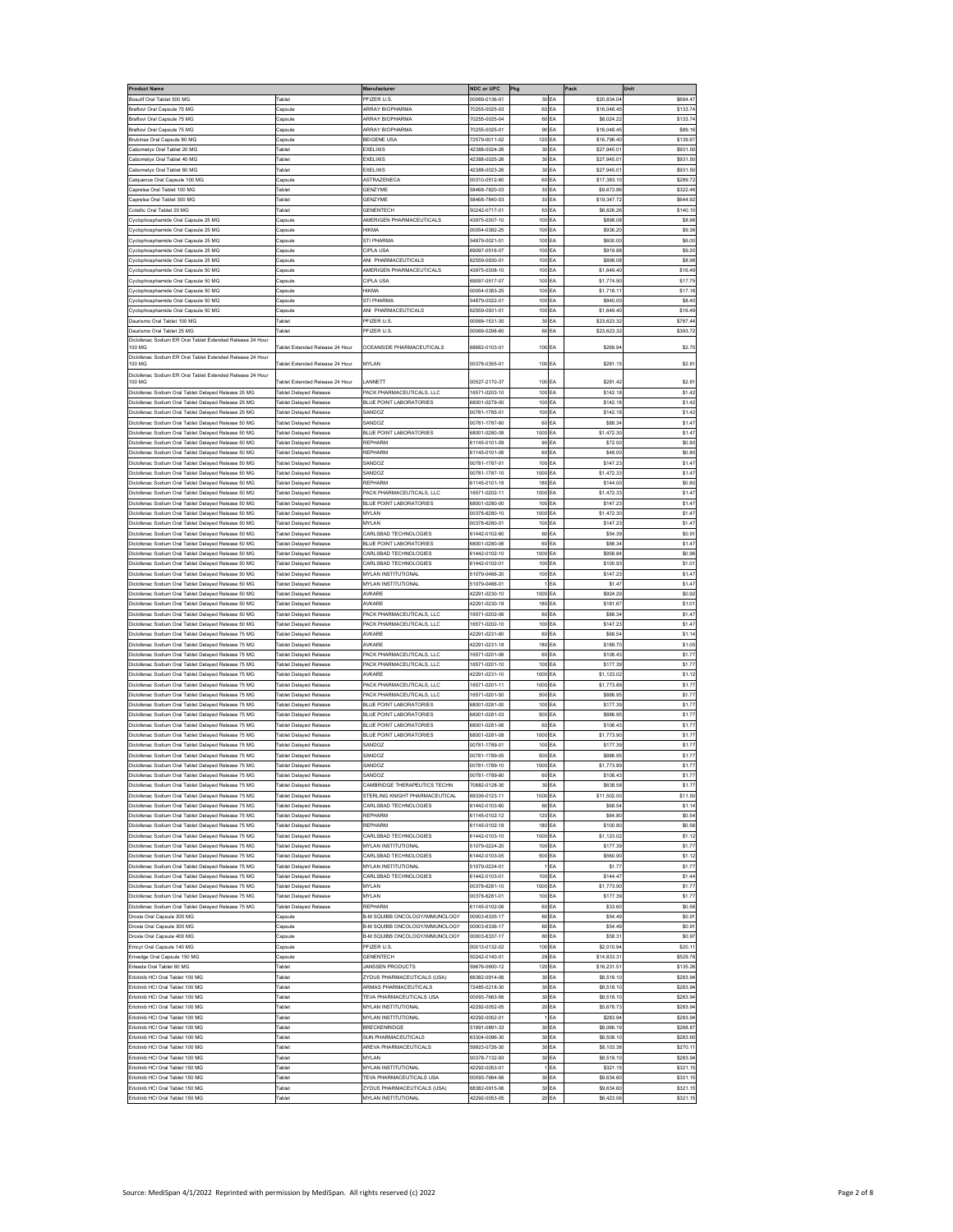| Product Name                                                                                             |                                                         | Manufacturer                                         | NDC or UPC                     | Pkg                 | Pack                     | Unit                      |
|----------------------------------------------------------------------------------------------------------|---------------------------------------------------------|------------------------------------------------------|--------------------------------|---------------------|--------------------------|---------------------------|
| sulif Oral Tablet 500 MG                                                                                 | <b>Fablet</b>                                           | PFIZER U.S.                                          | 00069-0136-01                  | 30 EA               | \$20,834.0               | \$694.4                   |
| aftovi Oral Capsule 75 MG                                                                                | apsuk                                                   | <b>ARRAY BIOPHARMA</b>                               | 0255-0025-03                   | 60 EA               | \$16,048.4               | \$133.7                   |
| raftovi Oral Capsule 75 MG                                                                               | 'apsule                                                 | <b>ARRAY BIOPHARMA</b>                               | 70255-0025-04                  | 60<br>EA            | \$8,024.2                | \$133.7                   |
| <b>Braftovi Oral Capsule 75 MG</b>                                                                       | Capsule                                                 | <b>ARRAY BIOPHARMA</b>                               | 70255-0025-01                  | 90<br>EA            | \$16,048.4               | \$89.1                    |
| rukinsa Oral Capsule 80 MG                                                                               | apsule                                                  | BEIGENE USA                                          | 72579-0011-02                  | 120<br>EA           | \$16,796.4               | \$139.9                   |
| abometyx Oral Tablet 20 MG                                                                               | Tablet                                                  | EXELIXIS                                             | 42388-0024-26                  | 30 EA               | \$27,945.0               | \$931.50                  |
| abometyx Oral Tablet 40 MG                                                                               | <b>Fablet</b>                                           | EXELIXIS                                             | 42388-0025-26                  | 30 EA               | \$27.945.0               | \$931.5                   |
| abometyx Oral Tablet 60 MG                                                                               | <b>Fablet</b>                                           | EXELIXIS                                             | 12388-0023-26                  | 30 EA               | \$27,945.0               | \$931.5                   |
| alquence Oral Capsule 100 MG                                                                             | Capsule                                                 | ASTRAZENECA<br><b>SENZYME</b>                        | 00310-0512-60                  | 60 EA               | \$17,383.10              | \$289.7                   |
| aprelsa Oral Tablet 100 MG<br>aprelsa Oral Tablet 300 MG                                                 | <b>Fablet</b><br><b>Fablet</b>                          | <b>GENZYME</b>                                       | 58468-7820-03<br>58468-7840-03 | 30 EA<br>30 EA      | \$9,673.86<br>\$19,347.7 | \$322.46<br>\$644.92      |
| otellic Oral Tablet 20 MG                                                                                | Tablet                                                  | <b>GENENTECH</b>                                     | 50242-0717-01                  | 63 EA               | \$8,826.26               | \$140.10                  |
| vclophosphamide Oral Capsule 25 MG                                                                       | Capsuk                                                  | MERIGEN PHARMACEUTICALS                              | 43975-0307-10                  | 100 EA              | \$898.08                 | S8.9                      |
| clophosphamide Oral Capsule 25 MG                                                                        | Capsule                                                 | <b>HIKMA</b>                                         | 10054-0382-25                  | 100 EA              | \$936.2                  | \$9.3                     |
| yclophosphamide Oral Capsule 25 MG                                                                       | apsule                                                  | <b>STI PHARMA</b>                                    | 4879-0021-01                   | 100<br>EA           | \$600.00                 | \$6.0                     |
| yclophosphamide Oral Capsule 25 MG                                                                       | apsule                                                  | CIPLA USA                                            | 69097-0516-07                  | 100<br>EA           | \$919.8                  | \$9.20                    |
| yclophosphamide Oral Capsule 25 MG                                                                       | .<br>Capsule                                            | <b>NI PHARMACEUTICALS</b>                            | 32559-0930-01                  | 100 EA              | \$898.08                 | \$8.9                     |
| yclophosphamide Oral Capsule 50 MG                                                                       | Capsule                                                 | MERIGEN PHARMACEUTICALS                              | 43975-0308-10                  | 100 EA              | \$1,649.4                | \$16.4                    |
| yclophosphamide Oral Capsule 50 MG                                                                       | Capsule                                                 | CIPLA USA                                            | 69097-0517-07                  | 100 EA              | \$1,774.90               | \$17.75                   |
| clophosphamide Oral Capsule 50 MG                                                                        | Capsule                                                 | <b>HIKMA</b>                                         | 00054-0383-25                  | 100 EA              | \$1,718.1                | \$17.1                    |
| vclophosphamide Oral Capsule 50 MG                                                                       | apsule                                                  | <b>STI PHARM</b>                                     | 4879-0022-01                   | 100<br>EA           | \$840.0                  | \$8.40                    |
| yclophosphamide Oral Capsule 50 MG                                                                       | apsule                                                  | MI PHARMACEUTICALS                                   | 62559-0931-01                  | 100 EA              | \$1,649.40               | \$16.49                   |
| aurismo Oral Tablet 100 MG                                                                               | <b>Fablet</b>                                           | PFIZER U.S.                                          | 00069-1531-30                  | 30 EA               | \$23,623.32              | \$787.44                  |
| aurismo Oral Tablet 25 MG                                                                                | Tablet                                                  | PFIZER U.S.                                          | 00069-0298-60                  | 60 EA               | \$23,623.32              | \$393.72                  |
| liclofenac Sodium ER Oral Tablet Extended Release 24 Hou<br>100 MG                                       | Fablet Extended Release 24 Hour                         | OCEANSIDE PHARMACEUTICALS                            | 68682-0103-01                  | 100 EA              | \$269.9                  | \$2.7                     |
| iclofenac Sodium ER Oral Tablet Extended Release 24 Hour                                                 |                                                         |                                                      |                                |                     |                          |                           |
| 100 MG                                                                                                   | Fablet Extended Release 24 Hour                         | MYLAN                                                | 00378-0355-01                  | 100 EA              | \$281.15                 | \$2.8                     |
| liclofenac Sodium ER Oral Tablet Extended Release 24 Hour                                                |                                                         |                                                      |                                |                     |                          |                           |
| 100 MG                                                                                                   | ablet Extended Release 24 Hour                          | ANNETT                                               | 00527-2170-37                  | 100 EA              | \$281.4                  | \$2.8                     |
| iclofenac Sodium Oral Tablet Delaved Release 25 MG                                                       | <b>Tablet Delaved Release</b>                           | ACK PHARMACEUTICALS, LLC                             | 16571-0203-10                  | 100 EA              | \$142.18                 | \$1.42                    |
| liciofenac Sodium Oral Tablet Delayed Release 25 MG                                                      | <b>Tablet Delaved Release</b>                           | <b>BLUE POINT LABORATORIES</b>                       | 68001-0279-00                  | 100 EA              | \$142.18                 | \$1.42                    |
| clofenac Sodium Oral Tablet Delayed Release 25 MG                                                        | ablet Delayed Release                                   | SANDOZ                                               | 00781-1785-01                  | 100 EA              | \$142.18                 | \$1.42                    |
| clofenac Sodium Oral Tablet Delayed Release 50 MG<br>liciofensc Sodium Oral Tablet Delayed Release 50 MG | ablet Delayed Release                                   | SANDOZ                                               | 00781-1787-60                  | 60<br>EA            | \$88.3                   | \$1.4]                    |
|                                                                                                          | <b>Fablet Delaved Release</b>                           | BLUE POINT LABORATORIES                              | 68001-0280-08                  | 1000<br>EA          | \$1,472.30               | \$1.4]                    |
| clofenac Sodium Oral Tablet Delayed Release 50 MG<br>clofenac Sodium Oral Tablet Delayed Release 50 MG   | ablet Delayed Release<br>Tablet Delaved Release         | REPHARM<br>REPHARM                                   | 61145-0101-09<br>61145-0101-06 | 90 EA<br>60 EA      | \$72.0<br>\$48.00        | \$0.80<br>\$0.80          |
| iclofenac Sodium Oral Tablet Delaved Release 50 MG                                                       | <b>Fablet Delaved Release</b>                           | SANDOZ                                               | 00781-1787-01                  | 100<br>EA           | \$147.2                  | \$1.4]                    |
| clofenac Sodium Oral Tablet Delayed Release 50 MG                                                        | <b>Fablet Delaved Release</b>                           | SANDOZ                                               | 00781-1787-10                  | 1000<br>FA          | \$1,472.3                | \$1.4                     |
| clofenac Sodium Oral Tablet Delayed Release 50 MG                                                        | <b>Fablet Delayed Release</b>                           | REPHARM                                              | 61145-0101-18                  | 180                 | \$144.00                 | \$0.80                    |
| iclofenac Sodium Oral Tablet Delayed Release 50 MG                                                       | <b>Fablet Delaved Release</b>                           | ACK PHARMACEUTICALS, LLC                             | 16571-0202-11                  | ΕA<br>1000<br>EA    | \$1,472.33               | \$1.4                     |
| clofenac Sodium Oral Tablet Delayed Release 50 MG                                                        | <b>Fablet Delayed Release</b>                           | <b>BLUE POINT LABORATORIES</b>                       | 38001-0280-00                  | 100<br>EA           | \$147.2                  | \$1.4]                    |
| clofenac Sodium Oral Tablet Delayed Release 50 MG                                                        | <b>Tablet Delaved Release</b>                           | MYLAN                                                | 00378-6280-10                  | 1000 EA             | \$1,472.30               | \$1.4]                    |
| iclofenac Sodium Oral Tablet Delaved Release 50 MG                                                       | <b>Fablet Delaved Release</b>                           | MYLAN                                                | 00378-6280-01                  | 100 EA              | \$147.2                  | \$1.4                     |
| clofenac Sodium Oral Tablet Delayed Release 50 MG                                                        | <b>Fablet Delayed Release</b>                           | CARLSBAD TECHNOLOGIES                                | 61442-0102-60                  | 60 EA               | \$54.3                   | \$0.9                     |
| clofenac Sodium Oral Tablet Delayed Release 50 MG                                                        | ablet Delayed Release                                   | BLUE POINT LABORATORIES                              | 38001-0280-06                  | 60<br>EA            | \$88.3                   | \$1.4                     |
| iclofenac Sodium Oral Tablet Delayed Release 50 MG                                                       | <b>Fablet Delaved Release</b>                           | CARLSBAD TECHNOLOGIES                                | 61442-0102-10                  | 1000<br>EA          | \$958.84                 | \$0.96                    |
| iclofenac Sodium Oral Tablet Delayed Release 50 MG                                                       | <b>Tablet Delayed Release</b>                           | CARLSBAD TECHNOLOGIES                                | 61442-0102-01                  | 100 EA              | \$100.9                  | \$1.0                     |
| clofenac Sodium Oral Tablet Delayed Release 50 MG                                                        | <b>Fablet Delayed Release</b>                           | <b>MYLAN INSTITUTIONAL</b>                           | 51079-0466-20                  | 100 EA              | \$147.2                  | \$1.4                     |
| iclofenac Sodium Oral Tablet Delayed Release 50 MG                                                       | Tablet Delayed Release                                  | MYLAN INSTITUTIONAL                                  | 51079-0466-01                  | EA                  | \$1.4]                   | \$1.4]                    |
| clofenac Sodium Oral Tablet Delayed Release 50 MG                                                        | <b>Fablet Delayed Release</b>                           | AVKARE                                               | 42291-0230-10                  | 1000<br>EA          | \$924.2                  | \$0.9                     |
| Iofenac Sodium Oral Tablet Delayed Release 50 MG                                                         | ablet Delayed Release                                   | WKARE                                                | 12291-0230-18                  | 180<br>EA           | \$181.6                  | \$1.0                     |
| dofenac Sodium Oral Tablet Delayed Release 50 MG                                                         | ablet Delayed Release                                   | ACK PHARMACEUTICALS, LLC                             | 16571-0202-06                  | 60<br>ΞA            | \$88.3                   | \$1.4                     |
| clofenac Sodium Oral Tablet Delayed Release 50 MG                                                        | <b>Fablet Delayed Release</b>                           | PACK PHARMACEUTICALS, LLC                            | 16571-0202-10                  | 100 EA              | \$147.2                  | \$1.4                     |
| iclofenac Sodium Oral Tablet Delayed Release 75 MG                                                       | <b>Fablet Delayed Release</b>                           | WKARE                                                | 42291-0231-60                  | 60 EA               | \$68.5                   | \$1.1                     |
| clofenac Sodium Oral Tablet Delaved Release 75 MG                                                        | Tablet Delaved Release                                  | <b>NXARE</b>                                         | 42291-0231-18                  | 180 EA              | \$189.70                 | \$1.05                    |
| liclofenac Sodium Oral Tablet Delaved Release 75 MG                                                      | <b>Fablet Delaved Release</b>                           | PACK PHARMACEUTICALS. LLC                            | 16571-0201-06                  | 60 <sub>EA</sub>    | \$106.4                  | \$1.7                     |
| clofenac Sodium Oral Tablet Delayed Release 75 MG                                                        | ablet Delayed Release                                   | PACK PHARMACEUTICALS, LLC                            | 16571-0201-10                  | 100 EA              | \$177.3                  | \$1.7                     |
| clofenac Sodium Oral Tablet Delayed Release 75 MG                                                        | ablet Delayed Release                                   | WKARI<br>ACK PHARMACEUTICALS, LLC                    | 12291-0231-10                  | 1000<br>EA          | \$1,123.02<br>\$1,773.89 | \$1.12                    |
| iclofenac Sodium Oral Tablet Delaved Release 75 MG                                                       | <b>Fablet Delaved Release</b>                           |                                                      | 16571-0201-11                  | 1000 EA             |                          | \$1.7                     |
| clofenac Sodium Oral Tablet Delayed Release 75 MG<br>clofenac Sodium Oral Tablet Delayed Release 75 MG   | ablet Delayed Release<br>Tablet Delaved Release         | PACK PHARMACEUTICALS, LLC<br>BLUE POINT LABORATORIES | 16571-0201-50<br>68001-0281-00 | 500<br>EA<br>100 EA | \$886.95<br>\$177.39     | \$1.7<br>\$1.7            |
| liclofenac Sodium Oral Tablet Delayed Release 75 MG                                                      | <b>Fablet Delaved Release</b>                           | <b>BLUE POINT LABORATORIES</b>                       | 68001-0281-03                  | 500<br>EA           | \$886.95                 | \$1.7                     |
| clofenac Sodium Oral Tablet Delaved Release 75 MG                                                        | <b>Fablet Delaved Release</b>                           | BLUE POINT LABORATORIES                              | 68001-0281-06                  | 60<br>EA            | \$106.4                  | \$1.7                     |
| clofenac Sodium Oral Tablet Delayed Release 75 MG                                                        | <b>Fablet Delayed Release</b>                           | <b>BLUE POINT LABORATORIES</b>                       | 68001-0281-08                  | 1000<br>ΕA          | \$1,773.90               | \$1.7                     |
| iclofenac Sodium Oral Tablet Delayed Release 75 MG                                                       | ablet Delaved Release                                   | SANDOZ                                               | 10781-1789-01                  | 100<br>EA           | \$177.39                 | \$1.7                     |
| iclofenac Sodium Oral Tablet Delayed Release 75 MG                                                       | <b>Fablet Delaved Release</b>                           | SANDOZ                                               | 0781-1789-05                   | 500<br>EA           | \$886.95                 | \$1.7                     |
| iclofenac Sodium Oral Tablet Delayed Release 75 MG                                                       | <b>Tablet Delaved Release</b>                           | SANDOZ                                               | 00781-1789-10                  | EA<br>1000          | \$1,773.89               | \$1.7                     |
| Octofenac Sodium Oral Tablet Delayed Release 75 MG                                                       | <b>Fablet Delaved Release</b>                           | SANDOZ                                               | 00781-1789-60                  | 60<br>EA            | \$106.43                 | \$1.7                     |
| liclofenac Sodium Oral Tablet Delaved Release 75 MG                                                      | <b>Fablet Delayed Release</b>                           | CAMBRIDGE THERAPEUTICS TECHN                         | 70882-0128-30                  | 30 EA               | \$638.5                  | \$1.77                    |
| iclofenac Sodium Oral Tablet Delaved Release 75 MG                                                       | ablet Delayed Rele                                      | STERLING KNIGHT PHARMACEUTICAL                       | 39336-0123-11                  | 1000 EA             | \$11,502.0               | \$11.50                   |
| Oclofenac Sodium Oral Tablet Delayed Release 75 MG                                                       | <b>Fablet Delayed Release</b>                           | CARLSBAD TECHNOLOGIES                                | 61442-0103-60                  | 60 <sub>EA</sub>    | \$68.5                   | \$1.14                    |
| liclofenac Sodium Oral Tablet Delayed Release 75 MG                                                      | <b>Fablet Delayed Release</b>                           | REPHARM                                              | 61145-0102-12                  | 120 EA              | \$64.80                  | \$0.54                    |
| iclofenac Sodium Oral Tablet Delaved Release 75 MG                                                       | <b>Fablet Delayed Release</b>                           | REPHARM                                              | 61145-0102-18                  | 180 EA              | \$100.8                  | \$0.56                    |
| iclofenac Sodium Oral Tablet Delayed Release 75 MG                                                       | <b>Fablet Delayed Release</b>                           | CARLSBAD TECHNOLOGIES                                | 61442-0103-10                  | 1000 EA             | \$1,123.02               | \$1.12                    |
| clofenac Sodium Oral Tablet Delayed Release 75 MG                                                        | <b>Fablet Delayed Release</b>                           | <b>MYLAN INSTITUTIONAL</b>                           | 51079-0224-20                  | 100<br>EA           | \$177.39                 | \$1.7                     |
| clofenac Sodium Oral Tablet Delayed Release 75 MG                                                        | ablet Delayed Rel                                       | CARLSBAD TECHNOLOGIES                                | 61442-0103-05                  | 500<br>EA           | \$560.9                  | \$1.1                     |
| clofenac Sodium Oral Tablet Delayed Release 75 MG                                                        | ablet Delayed Release                                   | <b>INVLAN INSTITUTIONAL</b>                          | 51079-0224-01                  | ΕA                  | \$1.7                    | \$1.7                     |
| iclofenac Sodium Oral Tablet Delayed Release 75 MG                                                       | <b>Tablet Delayed Release</b>                           | CARLSBAD TECHNOLOGIES                                | 61442-0103-01                  | 100 EA              | \$144.47                 | \$1.44                    |
| iclofenac Sodium Oral Tablet Delayed Release 75 MG                                                       | Tablet Delayed Release                                  | MYLAN<br>MYLAN                                       | 00378-6281-10                  | 1000 EA             | \$1,773.9                | \$1.7                     |
| clofenac Sodium Oral Tablet Delayed Release 75 MG<br>liclofenac Sodium Oral Tablet Delaved Release 75 MG | Tablet Delayed Release<br><b>Fablet Delayed Release</b> | REPHARM                                              | 00378-6281-01<br>61145-0102-06 | 100 EA<br>60 EA     | \$177.39<br>\$33.60      | \$1.7<br>S <sub>0.5</sub> |
| roxia Oral Capsule 200 MG                                                                                | apsule                                                  | B-M SQUIBB ONCOLOGY/IMMUNOLOGY                       | 00003-6335-17                  | 60 EA               | \$54.4                   | \$0.9                     |
| roxia Oral Capsule 300 MG                                                                                | apsule                                                  | 3-M SQUIBB ONCOLOGY/IMMUNOLOGY                       | 00003-6336-17                  | 60 EA               | \$54.49                  | \$0.9                     |
| <b>Droxia Oral Capsule 400 MG</b>                                                                        | apsule                                                  | 3-M SQUIBB ONCOLOGY/IMMUNOLOGY                       | 00003-6337-17                  | 60 EA               | \$58.3                   | \$0.97                    |
| mcyt Oral Capsule 140 MG                                                                                 | apsule                                                  | PFIZER U.S                                           | 00013-0132-02                  | 100 EA              | \$2,010.9                | \$20.1                    |
| Frivedge Oral Capsule 150 MG                                                                             | Capsule                                                 | <b>GENENTECH</b>                                     | 50242-0140-01                  | 28 EA               | \$14,833.3               | \$529.7                   |
| Frieada Oral Tablet 60 MC                                                                                | <b>Fablet</b>                                           | <b>JANSSEN PRODUCTS</b>                              | 59676-0600-12                  | 120 EA              | \$16,231.5               | \$135.2                   |
| rlotinib HCI Oral Tablet 100 MG                                                                          | <b>Fablet</b>                                           | <b>ZYDUS PHARMACEUTICALS (USA)</b>                   | 38382-0914-06                  | 30 EA               | \$8,518.10               | \$283.9                   |
| rlotinib HCI Oral Tablet 100 MG                                                                          | <b>Fablet</b>                                           | <b>ARMAS PHARMACEUTICALS</b>                         | 72485-0218-30                  | 30 EA               | \$8,518.10               | \$283.9                   |
| rlotinib HCI Oral Tablet 100 MG                                                                          | <b>Tablet</b>                                           | <b>TEVA PHARMACEUTICALS USA</b>                      | 00093-7663-56                  | 30 EA               | \$8,518.10               | \$283.94                  |
| rlotinib HCI Oral Tablet 100 MG                                                                          | <b>Fablet</b>                                           | <b>MYLAN INSTITUTIONAL</b>                           | 12292-0052-05                  | 20 EA               | \$5,678.73               | \$283.9                   |
| Erlotinib HCI Oral Tablet 100 MG                                                                         | Tablet                                                  | <b>MYLAN INSTITUTIONAL</b>                           | 42292-0052-01                  | 1EA                 | \$283.94                 | \$283.9                   |
| Erlotinib HCI Oral Tablet 100 MG                                                                         | <b>Fablet</b>                                           | <b>BRECKENRIDGE</b>                                  | 51991-0891-33                  | 30 EA               | \$8,066.19               | \$268.8                   |
| Erlotinib HCI Oral Tablet 100 MG                                                                         | <b>Fablet</b>                                           | <b>SUN PHARMACEUTICALS</b>                           | 63304-0096-30                  | 30 EA               | \$8,508.10               | \$283.6                   |
| rlotinib HCI Oral Tablet 100 MG                                                                          | ablet                                                   | <b>AREVA PHARMACEUTICALS</b>                         | 9923-0726-30                   | 30 EA               | \$8,103.3                | \$270.1                   |
| Erlotinib HCI Oral Tablet 100 MG                                                                         | <b>Fablet</b>                                           | <b>MYLAN</b>                                         | 0378-7132-93                   | 30 EA               | \$8,518.10               | \$283.94                  |
| rlotinib HCI Oral Tablet 150 MG                                                                          | <b>Fablet</b>                                           | <b>INCAN INSTITUTIONAL</b>                           | 12292-0053-01                  | EA                  | \$321.15                 | \$321.15                  |
| rlotinib HCI Oral Tablet 150 MG                                                                          | <b>Fablet</b>                                           | TEVA PHARMACEUTICALS USA                             | 00093-7664-56                  | 30 EA               | \$9,634.60               | \$321.1                   |
| Erlotinib HCI Oral Tablet 150 MG                                                                         | <b>Fablet</b>                                           | ZYDUS PHARMACEUTICALS (USA)                          | 68382-0915-06                  | 30 EA               | \$9,634.60               | \$321.15                  |
| Erlotinib HCI Oral Tablet 150 MG                                                                         | <b>Fablet</b>                                           | MYLAN INSTITUTIONAL                                  | 42292-0053-05                  | 20 EA               | \$6,423.06               | \$321.15                  |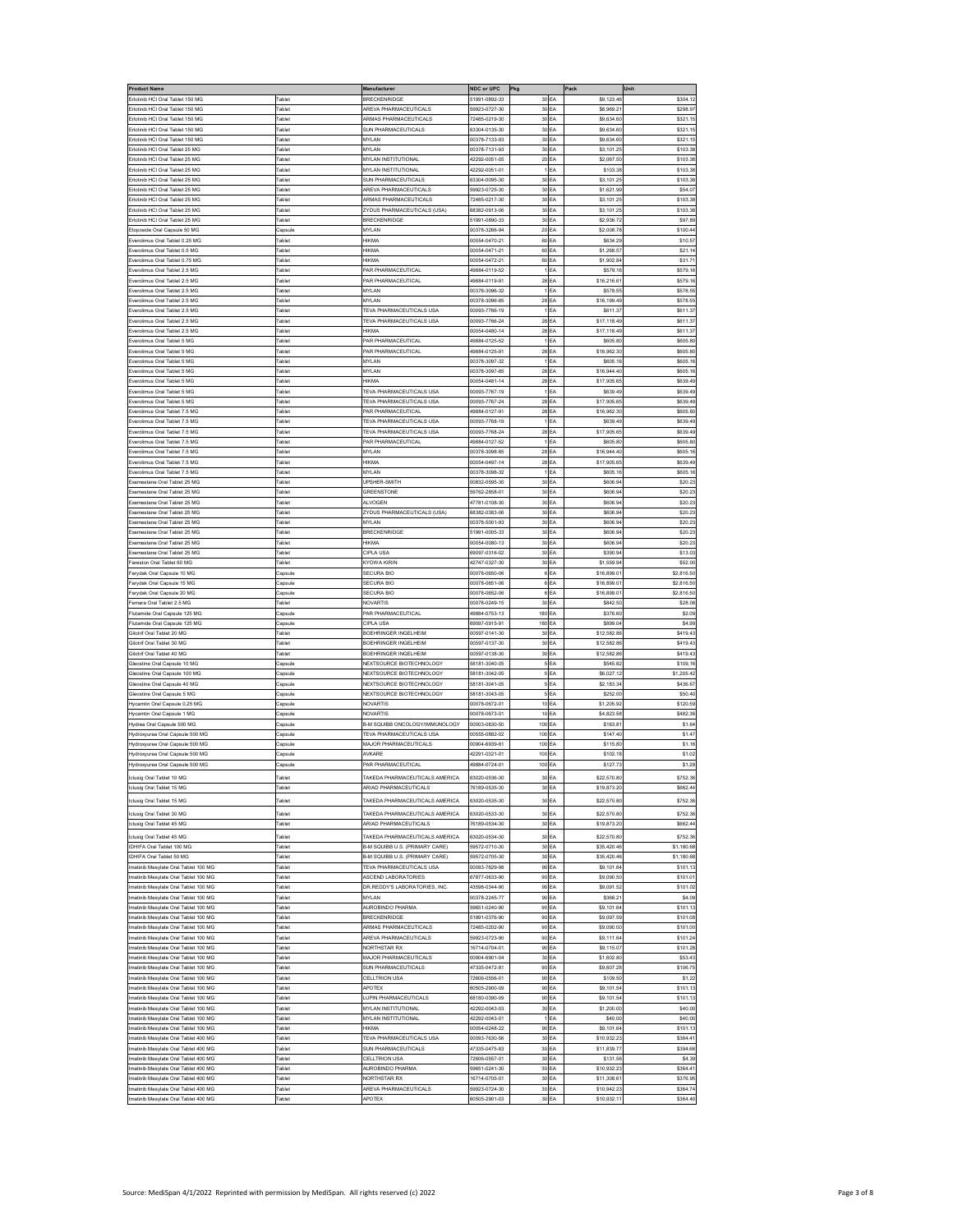| <b>Product Name</b>                                                        |                                | Manufacture                                                        | NDC or UPC                     | Pkg                  | Pack                       | Unit                  |
|----------------------------------------------------------------------------|--------------------------------|--------------------------------------------------------------------|--------------------------------|----------------------|----------------------------|-----------------------|
| Erlotinib HCI Oral Tablet 150 MG                                           | Tablet                         | BRECKENRIDGE                                                       | 51991-0892-33                  | 30 EA                | \$9,123.4                  | \$304.1               |
| rlotinib HCI Oral Tablet 150 MG<br>lotinib HCI Oral Tablet 150 MG          | <b>Fablet</b>                  | AREVA PHARMACEUTICALS<br><b>IRMAS PHARMACEUTICALS</b>              | 59923-0727-30<br>2485-0219-30  | 30 EA<br>30<br>EA    | \$8,969.2<br>\$9,634.6     | \$298.9<br>\$321.1    |
| rlotinib HCI Oral Tablet 150 MG                                            | ablet                          | <b>SUN PHARMACEUTICALS</b>                                         | 63304-0135-30                  | 30<br>EΑ             | \$9,634.60                 | \$321.1               |
| rlotinib HCI Oral Tablet 150 MG                                            | <b>Fablet</b>                  | <b>MYLAN</b>                                                       | 0378-7133-93                   | 30 EA                | \$9,634.60                 | \$321.1               |
| rlotinib HCI Oral Tablet 25 MG                                             | <b>Fablet</b>                  | <b>MYLAN</b>                                                       | 00378-7131-93                  | 30 EA                | \$3,101.25                 | \$103.3               |
| Frlotinib HCI Oral Tablet 25 MG                                            | <b>Fablet</b>                  | <b>MYLAN INSTITUTIONAL</b>                                         | 42292-0051-05                  | 20 EA                | \$2,067.50                 | \$103.3               |
| Erlotinib HCI Oral Tablet 25 MG                                            | <b>Fablet</b>                  | <b>MYLAN INSTITUTIONAL</b>                                         | 42292-0051-01                  | 1EA                  | \$103.38                   | \$103.3               |
| rlotinib HCI Oral Tablet 25<br>rlotinib HCI Oral Tablet 25 MG              | 'able<br><b>Fablet</b>         | <b>SUN PHARMACEUTICALS</b><br><b>AREVA PHARMACEUTICALS</b>         | 33304-0095-30<br>59923-0725-30 | 30 EA<br>30 EA       | \$3,101.2<br>\$1,621.99    | \$103.3<br>\$54.0     |
| rlotinib HCI Oral Tablet 25 MG                                             | <b>Fablet</b>                  | <b>ARMAS PHARMACEUTICALS</b>                                       | 72485-0217-30                  | 30 EA                | \$3,101.2                  | \$103.3               |
| rlotinib HCI Oral Tablet 25 MG                                             | able                           | <b>ZYDUS PHARMACEUTICALS (USA)</b>                                 | 38382-0913-06                  | 30 EA                | \$3,101.2                  | \$103.3               |
| rlotinib HCI Oral Tablet 25 MG                                             | <b>Fablet</b>                  | <b>BRECKENRIDGE</b>                                                | 51991-0890-33                  | 30 EA                | \$2,936.7                  | \$97.8                |
| toposide Oral Capsule 50 MG                                                | Capsul                         | <b>MYLAN</b>                                                       | 00378-3266-94                  | 20 <sub>EA</sub>     | \$2,008.7                  | \$100.4               |
| erolimus Oral Tablet 0.25 MG                                               | <b>Fablet</b>                  | <b>HIKMA</b>                                                       | 00054-0470-21                  | 60 EA                | \$634.2                    | \$10.5                |
| verolimus Oral Tablet 0.5 MG<br>verolimus Oral Tablet 0.75 MG              | <b>Fablet</b><br>ablet         | <b>HIKMA</b><br><b>HIKMA</b>                                       | 00054-0471-21<br>10054-0472-21 | 60<br>EA<br>60 EA    | \$1,268.57<br>\$1,902.84   | \$21.1<br>\$31.7      |
| verolimus Oral Tablet 2.5 MG                                               | <b>Fablet</b>                  | AR PHARMACEUTICAL                                                  | 19884-0119-52                  | EA                   | \$579.16                   | \$579.1               |
| verolimus Oral Tablet 2.5 MG                                               | <b>Fablet</b>                  | PAR PHARMACEUTICAL                                                 | 49884-0119-91                  | 28 EA                | \$16,216.6                 | \$579.1               |
| verolimus Oral Tablet 2.5 MC                                               | <b>Fablet</b>                  | <b>MYLAN</b>                                                       | 0378-3096-32                   | EA                   | \$578.5                    | \$578.5               |
| verolimus Oral Tablet 2.5 MC                                               | <b>Fablet</b>                  | MYLAN                                                              | 00378-3096-85                  | 28 EA                | \$16,199.4                 | \$578.5               |
| verolimus Oral Tablet 2.5 MG                                               | 'ablet                         | <b>TEVA PHARMACEUTICALS USA</b>                                    | 00093-7766-19                  | EA                   | \$611.3                    | \$611.3               |
| verolimus Oral Tablet 2.5 MG<br>verolimus Oral Tablet 2.5 MG               | <b>Fablet</b><br><b>Fablet</b> | <b>TEVA PHARMACEUTICALS USA</b><br><b>HIKMA</b>                    | 00093-7766-24<br>00054-0480-14 | 28 EA<br>28 EA       | \$17,118.49<br>\$17,118.49 | \$611.37<br>\$611.3   |
| verolimus Oral Tablet 5 MG                                                 | Tablet                         | PAR PHARMACEUTICAL                                                 | 49884-0125-52                  | 1EA                  | \$605.8                    | \$605.8               |
| verolimus Oral Tablet 5 MG                                                 | <b>Fablet</b>                  | AR PHARMACEUTICAL                                                  | 49884-0125-91                  | 28 EA                | \$16,962.30                | \$605.8               |
| erolimus Oral Tablet 5 MG                                                  | <b>Fablet</b>                  | MYLAN                                                              | 0378-3097-32                   | EA                   | \$605.16                   | \$605.1               |
| erolimus Oral Tablet 5 MC                                                  | able                           | <b>MYLAN</b>                                                       | 0378-3097-85                   | 28<br>EA             | \$16,944.4                 | \$605.1               |
| verolimus Oral Tablet 5 MG                                                 | able <sup>®</sup>              | <b>HIKMA</b>                                                       | 00054-0481-14                  | 28<br>EA             | \$17,905.6                 | \$639.4               |
| verolimus Oral Tablet 5 MG<br>verolimus Oral Tablet 5 MG                   | <b>Fablet</b><br><b>Fablet</b> | <b>TEVA PHARMACEUTICALS USA</b><br><b>TEVA PHARMACEUTICALS USA</b> | 00093-7767-19<br>00093-7767-24 | EA<br>28 EA          | \$639.49<br>\$17,905.6     | \$639.4<br>\$639.4    |
| verolimus Oral Tablet 7.5 MG                                               | <b>Fablet</b>                  | AR PHARMACEUTICA                                                   | 49884-0127-91                  | 28 EA                | \$16,962.30                | \$605.8               |
| verolimus Oral Tablet 7.5 MG                                               | <b>Fablet</b>                  | TEVA PHARMACEUTICALS USA                                           | 00093-7768-19                  | EA                   | \$639.4                    | \$639.4               |
| verolimus Oral Tablet 7.5 MC                                               | 'able                          | <b>TEVA PHARMACEUTICALS USA</b>                                    | 00093-7768-24                  | 28<br>EA             | \$17,905.6                 | \$639.4               |
| verolimus Oral Tablet 7.5 MG                                               | <b>Fablet</b>                  | AR PHARMACEUTICAL                                                  | 19884-0127-52                  | EA                   | \$605.8                    | \$605.8               |
| verolimus Oral Tablet 7.5 MG                                               | <b>Fablet</b>                  | <b>MYLAN</b>                                                       | 0378-3098-85                   | 28<br>EA             | \$16,944.40                | \$605.1               |
| verolimus Oral Tablet 7.5 MG<br>verolimus Oral Tablet 7.5 MG               | able<br>Tablet                 | <b>HIKMA</b><br>MYLAN                                              | 00054-0497-14                  | 28 EA                | \$17,905.6                 | \$639.4               |
| emestane Oral Tablet 25 MG                                                 | <b>Fablet</b>                  | UPSHER-SMITH                                                       | 00378-3098-32<br>00832-0595-30 | EA<br>30 EA          | \$605.16<br>\$606.9        | \$605.1<br>\$20.2     |
| testane Oral Tablet 25 MC                                                  | <b>Fablet</b>                  | GREENSTONE                                                         | 59762-2858-01                  | 30 EA                | \$606.9                    | \$20.2                |
| emestane Oral Tablet 25 MG                                                 | <b>Fablet</b>                  | <b>ILVOGEN</b>                                                     | 17781-0108-30                  | 30<br>EA             | \$606.94                   | \$20.2                |
| xemestane Oral Tablet 25 MG                                                | ablet                          | <b>7YOUS PHARMACEUTICALS (USA)</b>                                 | 38382-0383-06                  | 30<br>EA             | \$606.94                   | \$20.2                |
| emestane Oral Tablet 25 MG                                                 | <b>Fablet</b>                  | <b>MYLAN</b>                                                       | 0378-5001-93                   | 30 EA                | \$606.9                    | \$20.2                |
| emestane Oral Tablet 25 MG                                                 | <b>Fablet</b>                  | BRECKENRIDGE                                                       | 51991-0005-33                  | 30 EA                | \$606.9                    | \$20.2                |
| xemestane Oral Tablet 25 MG<br>emestane Oral Tablet 25 MG                  | <b>Fablet</b><br><b>Fablet</b> | <b>HIKMA</b><br>CIPLA US                                           | 00054-0080-13<br>69097-0316-02 | 30 EA<br>30 EA       | \$606.9<br>\$390.9         | \$20.2<br>\$13.0      |
| reston Oral Tablet 60 MG                                                   | able                           | <b>YOWA KIRIN</b>                                                  | 12747-0327-30                  | 30 EA                | \$1,559.9                  | \$52.0                |
| arydak Oral Capsule 10 MG                                                  | apsule                         | <b>SECURA BIO</b>                                                  | 00078-0650-06                  | 6 <sub>EA</sub>      | \$16,899.0                 | \$2,816.5             |
| arydak Oral Capsule 15 MG                                                  | Capsuk                         | <b>SECURA BIC</b>                                                  | 00078-0651-06                  | 6 <sub>EA</sub>      | \$16,899.0                 | \$2,816.5             |
| arydak Oral Capsule 20 MG                                                  | Capsul                         | <b>SECURA BIC</b>                                                  | 00078-0652-06                  | 6 <sub>EA</sub>      | \$16,899.0                 | \$2,816.5             |
|                                                                            |                                |                                                                    |                                |                      |                            |                       |
| emara Oral Tablet 2.5 MG                                                   | <b>Fablet</b>                  | NOVARTIS                                                           | 00078-0249-15                  | 30 EA                | \$842.50                   | \$28.0                |
| lutamide Oral Capsule 125 MG                                               | apsul                          | PAR PHARMACEUTICAL                                                 | 19884-0753-13                  | 180<br>EA            | \$376.6                    | \$2.0                 |
| tamide Oral Capsule 125 MG                                                 | apsule                         | CIPLA US                                                           | 9097-0915-91                   | 180<br>EA            | \$899.0                    | \$4.9                 |
| ilotrif Oral Tablet 20 MG<br>ilotrif Oral Tablet 30 MG                     | ablet<br><b>Fablet</b>         | BOEHRINGER INGELHEIM<br><b>SOEHRINGER INGELHEIM</b>                | 0597-0141-30<br>0597-0137-30   | 30<br>EA<br>30 EA    | \$12,582.86<br>\$12,582.8  | \$419.4<br>\$419.4    |
| ilotrif Oral Tablet 40 MG                                                  | <b>Fablet</b>                  | <b>SOEHRINGER INGELHEIM</b>                                        | 00597-0138-30                  | 30 EA                | \$12,582.8                 | \$419.4               |
| leostine Oral Capsule 10 MG                                                | Capsule                        | NEXTSOURCE BIOTECHNOLOGY                                           | 58181-3040-05                  | 5EA                  | \$545.82                   | \$109.1               |
| leostine Oral Capsule 100 MG                                               | Capsule                        | <b>VEXTSOURCE BIOTECHNOLOGY</b>                                    | 58181-3042-05                  | 5 <sub>EA</sub>      | \$6,027.1                  | \$1,205.4             |
| ostine Oral Capsule 40 MG                                                  | apsule                         | <b>VEXTSOURCE BIOTECHNOLOGY</b>                                    | 58181-3041-05                  | 5 <sub>EA</sub>      | \$2,183.3                  | \$436.6               |
| leostine Oral Capsule 5 MG                                                 | apsule                         | <b>NEXTSOURCE BIOTECHNOLOGY</b>                                    | 58181-3043-05                  | 5EA                  | \$252.00                   | \$50.40               |
| lycamtin Oral Capsule 0.25 MG<br>ycamtin Oral Capsule 1 MG                 | apsule<br>apsul                | VOVARTIS<br>VOVARTIS                                               | 00078-0672-01<br>00078-0673-01 | 10 <sub>EA</sub>     | \$1,205.92<br>\$4,823.5    | \$120.5               |
| lydrea Oral Capsule 500 MG                                                 | Capsuk                         | 3-M SQUIBB ONCOLOGY/IMMUNOLOGY                                     | 00003-0830-50                  | 10 EA<br>100 EA      | \$163.8                    | \$482.36<br>\$1.6     |
| ydroxyurea Oral Capsule 500 MG                                             | apsule                         | <b>TEVA PHARMACEUTICALS USA</b>                                    | 00555-0882-02                  | 100<br>EA            | \$147.40                   | \$1.4                 |
| droxyurea Oral Capsule 500 MG                                              | apsule                         | MAJOR PHARMACEUTICALS                                              | 10-0403-0000                   | 100<br>EA            | \$115.8                    | \$1.1                 |
| ydroxyurea Oral Capsule 500 MG                                             | Capsule                        | <b>NXARE</b>                                                       | 12291-0321-01                  | 100<br>ΕA            | \$102.18                   | \$1.02                |
| fydroxyurea Oral Capsule 500 MG                                            | apsule                         | AR PHARMACEUTICAL                                                  | 49884-0724-01                  | 100<br>EA            | \$127.73                   | \$1.28                |
| clusig Oral Tablet 10 MG                                                   | ablet                          | AKEDA PHARMACEUTICALS AMERICA                                      | 63020-0536-30                  | 30<br>EA             | \$22,570.80                | \$752.36              |
| clusig Oral Tablet 15 MG                                                   | <b>Fablet</b>                  | ARIAD PHARMACEUTICALS                                              | 76189-0535-30                  | 30 EA                | \$19,873.20                | \$662.44              |
| dusig Oral Tablet 15 MG                                                    | 'ablet                         | AKEDA PHARMACEUTICALS AMERICA                                      | 33020-0535-30                  | 30<br>EA             | \$22,570.8                 | \$752.36              |
| clusig Oral Tablet 30 MG                                                   | <b>Fablet</b>                  | <b>TAKEDA PHARMACEUTICALS AMERICA</b>                              | 63020-0533-30                  | 30 EA                | \$22,570.80                | \$752.36              |
| clusig Oral Tablet 45 MG                                                   | <b>Fablet</b>                  | ARIAD PHARMACEUTICALS                                              | 76189-0534-30                  | 30 EA                | \$19,873.2                 | \$662.44              |
| clusig Oral Tablet 45 MG<br>DHIFA Oral Tablet 100 MG                       | <b>Fablet</b><br><b>Fablet</b> | TAKEDA PHARMACEUTICALS AMERICA<br>B-M SQUIBB U.S. (PRIMARY CARE    | 63020-0534-30<br>59572-0710-30 | 30 EA<br>30 EA       | \$22,570.80<br>\$35,420.4  | \$752.36<br>\$1,180.6 |
| DHIFA Oral Tablet 50 MG                                                    | <b>Fablet</b>                  | 3-M SQUIBB U.S. (PRIMARY CARE)                                     | 59572-0705-30                  | 30 EA                | \$35,420.46                | \$1,180.68            |
| natinib Mesylate Oral Tablet 100 MG                                        | <b>Fablet</b>                  | <b>TEVA PHARMACEUTICALS USA</b>                                    | 00093-7629-98                  | 90<br>EA             | \$9,101.64                 | \$101.13              |
| natinib Mesvlate Oral Tablet 100 MG                                        | <b>Fablet</b>                  | <b>ASCEND LABORATORIES</b>                                         | 37877-0633-90                  | 90 EA                | \$9,090.50                 | \$101.0               |
| natinib Mesylate Oral Tablet 100 MG                                        | Tablet                         | DR.REDDY'S LABORATORIES, INC.                                      | 43598-0344-90                  | 90 EA                | \$9,091.52                 | \$101.02              |
| natinib Mesylate Oral Tablet 100 MG                                        | <b>Fablet</b>                  | <b>MYLAN</b>                                                       | 0378-2245-77                   | 90 EA                | \$368.2                    | \$4.09                |
| natinib Mesylate Oral Tablet 100 MG<br>atinib Mesvlate Oral Tablet 100 MG  | <b>Fablet</b><br>ablet         | AUROBINDO PHARMA<br><b>BRECKENRIDGE</b>                            | 59651-0240-90                  | 90 EA<br>90 EA       | \$9,101.64<br>\$9,097.5    | \$101.13<br>\$101.08  |
| natinib Mesylate Oral Tablet 100 MG                                        | <b>Fablet</b>                  | ARMAS PHARMACEUTICALS                                              | 1991-0376-90<br>72485-0202-90  | 90 <sub>EA</sub>     | \$9,090.00                 | \$101.00              |
| natinib Mesvlate Oral Tablet 100 MG                                        | <b>Fablet</b>                  | <b>AREVA PHARMACEUTICALS</b>                                       | 59923-0723-90                  | 90 EA                | \$9,111.64                 | \$101.24              |
| natinib Mesylate Oral Tablet 100 MG                                        | Tablet                         | NORTHSTAR RX                                                       | 16714-0704-01                  | 90 EA                | \$9,115.07                 | \$101.28              |
| natinib Mesylate Oral Tablet 100 MG                                        | Tablet                         | MAJOR PHARMACEUTICALS                                              | 00904-6901-04                  | 30 EA                | \$1,602.80                 | \$53.43               |
| atinib Mesylate Oral Tablet 100 MG                                         | <b>Fablet</b>                  | <b>SUN PHARMACEUTICALS</b>                                         | 47335-0472-81                  | 90 EA                | \$9,607.2                  | \$106.7               |
| atinib Mesvlate Oral Tablet 100 MG<br>natinib Mesylate Oral Tablet 100 MG  | ablet<br>ablet                 | CELLTRION USA<br>APOTEX                                            | 72606-0556-01<br>30505-2900-09 | 90<br>EA<br>90<br>EA | \$109.5<br>\$9,101.54      | \$1.22<br>\$101.13    |
| natinib Mesylate Oral Tablet 100 MG                                        | <b>Fablet</b>                  | <b>JUPIN PHARMACEUTICALS</b>                                       | 68180-0390-09                  | 90 EA                | \$9,101.54                 | \$101.13              |
| atinib Mesylate Oral Tablet 100 MG                                         | <b>Fablet</b>                  | <b>MYLAN INSTITUTIONAL</b>                                         | 42292-0043-03                  | 30 EA                | \$1,200.0                  | \$40.00               |
| natinib Mesylate Oral Tablet 100 MG                                        | Tablet                         | <b>MYLAN INSTITUTIONAL</b>                                         | 42292-0043-01                  | EA                   | \$40.00                    | \$40.00               |
| natinib Mesylate Oral Tablet 100 MG                                        | <b>Fablet</b>                  | HIKMA                                                              | 00054-0248-22                  | 90 EA                | \$9,101.64                 | \$101.1               |
| atinib Mesylate Oral Tablet 400 MG                                         | ablet                          | <b>TEVA PHARMACEUTICALS USA</b>                                    | 00093-7630-56                  | 30 EA                | \$10,932.2                 | \$364.4               |
| natinib Mesylate Oral Tablet 400 MG<br>natinib Mesvlate Oral Tablet 400 MG | <b>Fablet</b><br><b>Fablet</b> | <b>SUN PHARMACEUTICALS</b><br>CELLTRION USA                        | 17335-0475-83<br>72606-0557-01 | 30 EA<br>30 EA       | \$11,839.77<br>\$131.56    | \$394.66<br>\$4.39    |
| atinib Mesylate Oral Tablet 400 MG                                         | <b>Fablet</b>                  | <b>NUROBINDO PHARMA</b>                                            | 59651-0241-30                  | 30 EA                | \$10,932.2                 | \$364.4               |
| natinib Mesylate Oral Tablet 400 MG                                        | Tablet                         | NORTHSTAR RX                                                       | 16714-0705-01                  | 30 EA                | \$11,308.6                 | \$376.95              |
| natinib Mesylate Oral Tablet 400 MG<br>atinib Mesylate Oral Tablet 400 MG  | <b>Fablet</b><br>Tablet        | AREVA PHARMACEUTICALS<br>APOTEX                                    | 59923-0724-30<br>60505-2901-03 | 30 EA<br>30 EA       | \$10,942.23<br>\$10,932.11 | \$364.7<br>\$364.40   |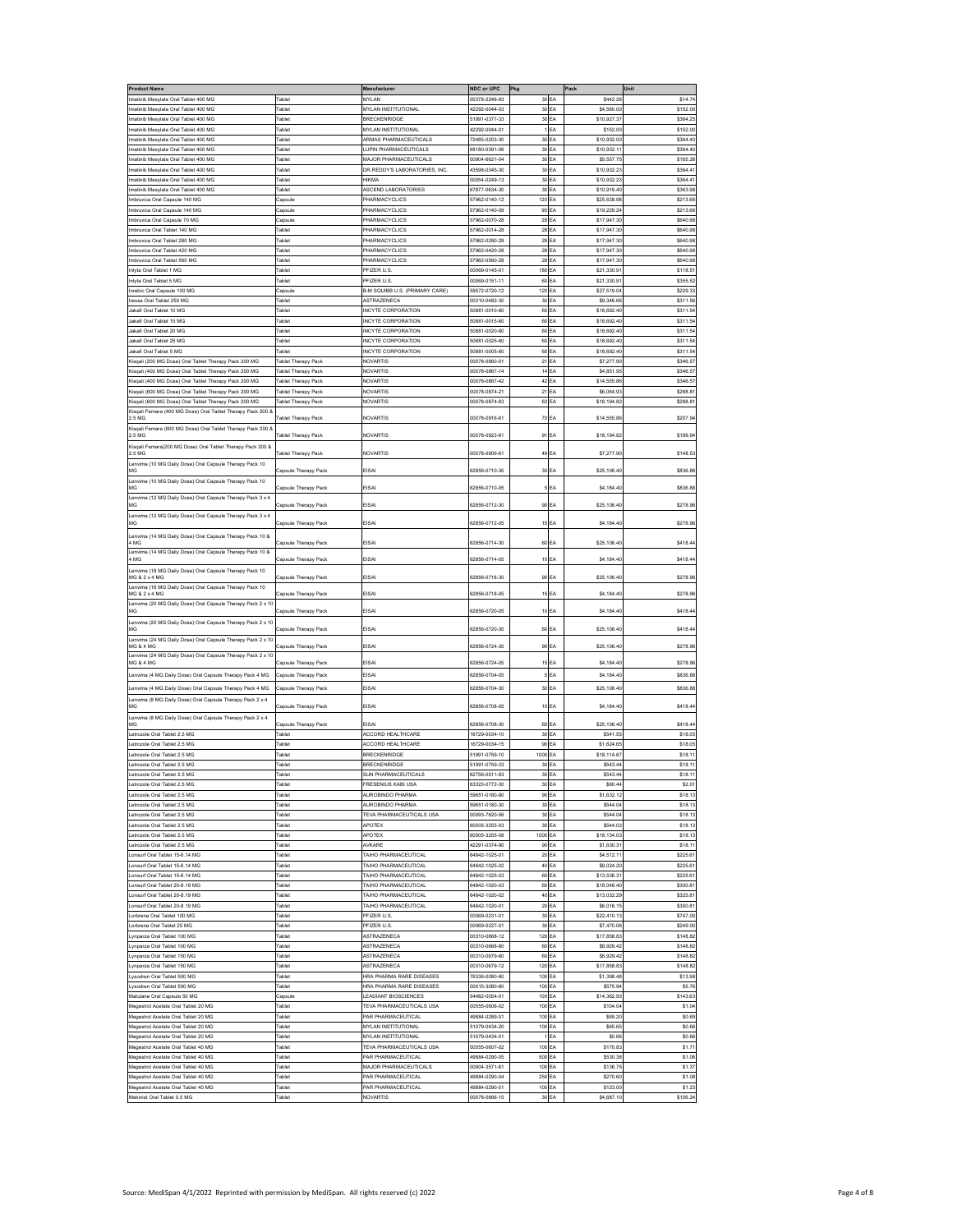| Product Name                                                          |                            | Manufacturer                          | NDC or UPC                    | Pkg            |           | Pack        | Unit     |
|-----------------------------------------------------------------------|----------------------------|---------------------------------------|-------------------------------|----------------|-----------|-------------|----------|
| natinib Mesylate Oral Tablet 400 MG                                   | Tablet                     | MYLAN                                 | 00378-2246-93                 |                | 30 EA     | \$442.2     | \$14.7   |
| matinib Mesvlate Oral Tablet 400 MG                                   | <b>Fablet</b>              | <b>MYLAN INSTITUTIONAL</b>            | 12292-0044-03                 | 30             | EA        | \$4,560.00  | \$152.00 |
| natinib Mesylate Oral Tablet 400 MG                                   | Tablet                     | <b>BRECKENRIDGE</b>                   | 1991-0377-33                  |                | 30 EA     | \$10,927.3  | \$364.2  |
| natinib Mesylate Oral Tablet 400 MG                                   | ablet                      | <b>IYLAN INSTITUTIONAL</b>            | 2292-0044-01                  |                | EA        | \$152.0     | \$152.00 |
| matinib Mesvlate Oral Tablet 400 MG                                   | <b>Fablet</b>              | <b>ARMAS PHARMACEUTICALS</b>          | 2485-0203-30                  | 30             | EA        | \$10,932.00 | \$364.40 |
| natinib Mesylate Oral Tablet 400 MG                                   | Tablet                     | <b>UPIN PHARMACEUTICALS</b>           | 38180-0391-06                 |                | 30 EA     | \$10,932.11 | \$364.40 |
| natinib Mesylate Oral Tablet 400 MG                                   | ablet                      | <b>MAJOR PHARMACEUTICALS</b>          | 0904-6621-04                  | 30             | EA        | \$5,557.7   | \$185.26 |
| matinib Mesylate Oral Tablet 400 MG                                   | Tablet                     | DR.REDDY'S LABORATORIES, INC          | 43598-0345-30                 |                | 30 EA     | \$10,932.23 | \$364.4  |
| natinib Mesylate Oral Tablet 400 MG                                   | Tablet                     | <b>HIKMA</b>                          | 00054-0249-13                 |                | 30 EA     | \$10,932.2  | \$364.4  |
| natinib Mesylate Oral Tablet 400 MG                                   | ablet                      | <b>SCEND LABORATORIES</b>             | 7877-0634-30                  | 30             | EA        | \$10,919.40 | \$363.9  |
| mbruvica Oral Capsule 140 MG                                          | Capsule                    | PHARMACYCLICS                         | 7962-0140-12                  | 120            | EA        | \$25,638.98 | \$213.66 |
| nbruvica Oral Capsule 140 MG                                          | Capsule                    | PHARMACYCLICS                         | 7962-0140-09                  |                | 90 EA     | \$19,229.24 | \$213.6  |
| nbruvica Oral Capsule 70 MG                                           | Capsul                     | PHARMACYCLICS                         | 7962-0070-28                  |                | 28 EA     | \$17,947.30 | \$640.98 |
| mbruvica Oral Tablet 140 MG                                           | Tablet                     | PHARMACYCLICS                         | 57962-0014-28                 | 28             | EA        | \$17,947.30 | \$640.98 |
| mbruvica Oral Tablet 280 MG                                           | <b>Tablet</b>              | PHARMACYCLICS                         | 7962-0280-28                  | 28             | EA        | \$17,947.30 | \$640.9  |
| nbruvica Oral Tablet 420 MG                                           | ablet                      | HARMACYCLICS                          | 7962-0420-28                  | 28             | EΑ        | \$17,947.30 | \$640.9  |
| mbruvica Oral Tablet 560 MG                                           | <b>Fablet</b>              | PHARMACYCLICS                         | 7962-0560-28                  | 28             | EΑ        | \$17,947.30 | \$640.98 |
| nivta Oral Tablet 1 MG                                                | <b>Tablet</b>              | PFIZER U.S.                           | 00069-0145-01                 | 180            | EΑ        | \$21,330.91 | \$118.5  |
|                                                                       | <b>Fablet</b>              |                                       |                               |                |           |             |          |
| nlyta Oral Tablet 5 MG                                                |                            | <b>PFIZER U.S</b>                     | 0069-0151-11                  | 60             | EA        | \$21,330.9  | \$355.5  |
| nrebic Oral Capsule 100 MG                                            | Capsuk                     | <b>B-M SQUIBB U.S. (PRIMARY CARE)</b> | 59572-0720-12                 | 120            | EA        | \$27.519.04 | \$229.3  |
| ressa Oral Tablet 250 MG                                              | <b>Tablet</b>              | <b>ASTRAZENECA</b>                    | 00310-0482-30                 | 30             | EA        | \$9,346.66  | \$311.5  |
| lakafi Oral Tablet 10 MG                                              | Tablet                     | INCYTE CORPORATION                    | 0881-0010-60                  |                | 60 EA     | \$18,692.40 | \$311.5  |
| akafi Oral Tablet 15 MG                                               | Tablet                     | <b>INCYTE CORPORATION</b>             | 50881-0015-60                 | 60             | EA        | \$18,692.40 | \$311.5  |
| akafi Oral Tablet 20 MG                                               | <b>Tablet</b>              | <b>INCYTE CORPORATION</b>             | 0881-0020-60                  | 60             | EA        | \$18,692.40 | \$311.54 |
| akafi Oral Tablet 25 MG                                               | Tablet                     | <b>INCYTE CORPORATION</b>             | 0881-0025-60                  |                | 60 EA     | \$18,692.40 | \$311.54 |
| akafi Oral Tablet 5 MG                                                | <b>Fablet</b>              | INCYTE CORPORATION                    | 50881-0005-60                 |                | 60 EA     | \$18,692.40 | \$311.5  |
| Kisqali (200 MG Dose) Oral Tablet Therapy Pack 200 MG                 | Tablet Therapy Pack        | NOVARTIS                              | 00078-0860-01                 | 21             | EA        | \$7,277.90  | \$346.5  |
| Gisqali (400 MG Dose) Oral Tablet Therapy Pack 200 MG                 | Tablet Therapy Pack        | NOVARTIS                              | 0078-0867-14                  | 14             | EA        | \$4,851.95  | \$346.5  |
| isqali (400 MG Dose) Oral Tablet Therapy Pack 200 MG                  | <b>Fablet Therapy Pack</b> | <b>JOVARTIS</b>                       | 0078-0867-42                  | 42             | EΑ        | \$14,555.8  | \$346.5  |
| Gisqali (600 MG Dose) Oral Tablet Therapy Pack 200 MG                 | Tablet Therapy Pack        | <b>VOVARTIS</b>                       | 0078-0874-21                  | $\overline{2}$ | EA        | \$6,064.93  | \$288.81 |
| Kisqali (600 MG Dose) Oral Tablet Therapy Pack 200 MG                 | Tablet Therapy Pack        | <b>NOVARTIS</b>                       | 00078-0874-63                 |                | 63 EA     | \$18,194.82 | \$288.8  |
| Kisqali Femara (400 MG Dose) Oral Tablet Therapy Pack 200 8           |                            |                                       |                               |                |           |             |          |
| 2.5 MG                                                                | Tablet Therapy Pack        | NOVARTIS                              | 00078-0916-61                 | 70             | <b>FA</b> | \$14,555.86 | \$207.9  |
| Kisqali Femara (600 MG Dose) Oral Tablet Therapy Pack 200 &<br>2.5 MG | Fablet Therapy Pack        | NOVARTIS                              | 00078-0923-61                 |                | 91 EA     | \$18,194.82 | \$199.9  |
|                                                                       |                            |                                       |                               |                |           |             |          |
| Kisqali Femara(200 MG Dose) Oral Tablet Therapy Pack 200 &<br>2.5 MG  | Tablet Therapy Pack        | <b>NOVARTIS</b>                       | 00078-0909-61                 | 49             | EA        | \$7,277.90  | \$148.53 |
| Lenvima (10 MG Daily Dose) Oral Capsule Therapy Pack 10               |                            |                                       |                               |                |           |             |          |
| MG                                                                    | Capsule Therapy Pack       | EISAI                                 | 62856-0710-30                 | 30             | EA        | \$25,106.40 | \$836.88 |
| envima (10 MG Daily Dose) Oral Capsule Therapy Pack 10                |                            |                                       |                               |                |           |             |          |
| MG                                                                    | Capsule Therapy Pack       | FISAI                                 | 32856-0710-05                 |                | <b>FA</b> | \$4,184.40  | \$836.8  |
| envima (12 MG Daily Dose) Oral Capsule Therapy Pack 3 x 4<br>MG       |                            | EISA                                  | 62856-0712-30                 |                | 90 EA     | \$25,106.40 | \$278.96 |
|                                                                       | apsule Therapy Pack        |                                       |                               |                |           |             |          |
| envima (12 MG Daily Dose) Oral Capsule Therapy Pack 3 x 4<br>MG       | Capsule Therapy Pack       | EISAI                                 | 62856-0712-05                 |                | 15 EA     | \$4,184.40  | \$278.96 |
|                                                                       |                            |                                       |                               |                |           |             |          |
| envima (14 MG Daily Dose) Oral Capsule Therapy Pack 10 &<br>4 MG      | Capsule Therapy Pack       | EISAI                                 | 62856-0714-30                 |                | 60 EA     | \$25,106.40 | \$418.4  |
| Lenvima (14 MG Daily Dose) Oral Capsule Therapy Pack 10 &             |                            |                                       |                               |                |           |             |          |
| MG                                                                    | Capsule Therapy Pack       | EISAI                                 | 62856-0714-05                 |                | 10 EA     | \$4,184.40  | \$418.4  |
| envima (18 MG Daily Dose) Oral Capsule Therapy Pack 10                |                            |                                       |                               |                |           |             |          |
| <b>MG &amp; 2 x 4 MC</b>                                              | apsule Therapy Pack        | EISA                                  | 2856-0718-30                  |                | 90 EA     | \$25,106.40 | \$278.9  |
| envima (18 MG Daily Dose) Oral Capsule Therapy Pack 10                |                            |                                       |                               |                |           |             |          |
| MG & 2 x 4 MG                                                         | Capsule Therapy Pack       | EISAI                                 | 32856-0718-05                 |                | 15 EA     | \$4,184.40  | \$278.96 |
| Lenvima (20 MG Daily Dose) Oral Capsule Therapy Pack 2 x 10<br>MG     |                            | EISAI                                 | 62856-0720-05                 | 10             | EA        | \$4,184.40  | \$418.44 |
|                                                                       | Capsule Therapy Pack       |                                       |                               |                |           |             |          |
| envima (20 MG Daily Dose) Oral Capsule Therapy Pack 2 x 10<br>MG      | Capsule Therapy Pack       | EISAI                                 | 62856-0720-30                 | 60             | EA        | \$25,106.40 | \$418.4  |
| envima (24 MG Daily Dose) Oral Capsule Therapy Pack 2 x 10            |                            |                                       |                               |                |           |             |          |
| <b>MG &amp; 4 MG</b>                                                  | Capsule Therapy Pack       | EISAI                                 | 62856-0724-30                 | 90             | <b>FA</b> | \$25,106.40 | \$278.9  |
| envima (24 MG Daily Dose) Oral Capsule Therapy Pack 2 x 10            |                            |                                       |                               |                |           |             |          |
| <b>MG &amp; 4 MG</b>                                                  | Capsule Therapy Pack       | EISAI                                 | 62856-0724-05                 | 15             | EA        | \$4,184.40  | \$278.96 |
| envima (4 MG Daily Dose) Oral Capsule Therapy Pack 4 MG               | Capsule Therapy Pack       | EISAI                                 | 32856-0704-05                 |                | EA        | \$4,184.40  | \$836.88 |
| envima (4 MG Daily Dose) Oral Capsule Therapy Pack 4 MG               | Sapsule Therapy Pack       | EISAI                                 | 2856-0704-30                  |                | 30 EA     | \$25,106.40 | \$836.8  |
|                                                                       |                            |                                       |                               |                |           |             |          |
| envima (8 MG Daily Dose) Oral Capsule Therapy Pack 2 x 4<br>MG        | Capsule Therapy Pack       | EISA                                  | 32856-0708-05                 |                | 10 EA     | \$4,184.40  | \$418.4  |
| envima (8 MG Daily Dose) Oral Capsule Therapy Pack 2 x 4              |                            |                                       |                               |                |           |             |          |
| MG                                                                    | apsule Therapy Pack        | EISA                                  | 2856-0708-30                  | 60             | EA        | \$25,106.40 | \$418.44 |
| etrozole Oral Tablet 2.5 MG                                           | Tablet                     | ACCORD HEALTHCARE                     | 16729-0034-10                 | 30             | EA        | \$541.55    | \$18.05  |
| etrozole Oral Tablet 2.5 MG                                           | <b>Fablet</b>              | ACCORD HEALTHCARE                     | 16729-0034-15                 | 90             | EA        | \$1,624.65  | \$18.0   |
| trozole Oral Tablet 2.5 MG                                            |                            | RECKENRIDGE                           | 1991-0759-10                  | 1000           | EΑ        | \$18,114.67 | \$18.1   |
| etrozole Oral Tablet 2.5 MG                                           | <b>Tablet</b>              | BRECKENRIDGE                          | 1991-0759-33                  | 30             | EA        | \$543.44    | \$18.1   |
| etrozole Oral Tablet 2.5 MG                                           | Tablet                     | SUN PHARMACEUTICALS                   | 62756-0511-83                 | 30             | EA        | \$543.44    | \$18.11  |
| etrozole Oral Tablet 2.5 MG                                           | ablet                      | FRESENIUS KABI USA                    | 63323-0772-30                 |                | 30 EA     | \$60.44     | \$2.01   |
| etrozole Oral Tablet 2.5 MG                                           | Tablet                     | AUROBINDO PHARMA                      | 59651-0180-90                 |                | 90 EA     | \$1,632.12  | \$18.13  |
| Letrozole Oral Tablet 2.5 MG                                          | Tablet                     | AUROBINDO PHARMA                      | 59651-0180-30                 |                | 30 EA     | \$544.04    | \$18.13  |
| etrozole Oral Tablet 2.5 MG                                           | Tablet                     | TEVA PHARMACEUTICALS USA              | 0093-7620-56                  | 30             | EA        | \$544.04    | \$18.13  |
| etrozole Oral Tablet 2.5 MG                                           | Tablet                     | APOTEX                                | 60505-3255-03                 | 30             | EA        | \$544.03    | \$18.13  |
| etrozole Oral Tablet 2.5 MG                                           | <b>Fablet</b>              | APOTEX                                | 60505-3255-08                 | 1000           | EA        | \$18,134.03 | \$18.13  |
| etrozole Oral Tablet 2.5 MG                                           | Tablet                     | <b>NXARE</b>                          | 42291-0374-90                 |                | 90 EA     | \$1,630.31  | \$18.11  |
| onsurf Oral Tablet 15-6.14 MG                                         | Tablet                     | TAIHO PHARMACEUTICAL                  | 34842-1025-01                 |                | 20 EA     | \$4,512.11  | \$225.6  |
| onsurf Oral Tablet 15-6.14 MG                                         | <b>Fablet</b>              | <b>FAIHO PHARMACEUTICAL</b>           | 64842-1025-02                 |                | 40 EA     | \$9,024.20  | \$225.6  |
| onsurf Oral Tablet 15-6.14 MG                                         | Tablet                     | TAIHO PHARMACEUTICAL                  | 4842-1025-03                  |                | 60 EA     | \$13,536.31 | \$225.6  |
| onsurf Oral Tablet 20-8.19 MG                                         | Tablet                     | <b>TAIHO PHARMACEUTICAL</b>           | 4842-1020-03                  | 60             | EA        | \$18,048.40 | \$300.8  |
| onsurf Oral Tablet 20-8.19 MG                                         | <b>Tablet</b>              | AIHO PHARMACEUTICAL                   | 34842-1020-02                 | 40             | EA        | \$13,032.29 | \$325.81 |
| onsurf Oral Tablet 20-8.19 MG                                         | Tablet                     | TAIHO PHARMACEUTICAL                  | 4842-1020-01                  |                | 20 EA     | \$6,016.15  | \$300.81 |
| orbrena Oral Tablet 100 MG                                            | Tablet                     | PFIZER U.S.                           | 00069-0231-01                 |                | 30 EA     | \$22,410.13 | \$747.00 |
| orbrena Oral Tablet 25 MG                                             | <b>Fablet</b>              | PFIZER U.S                            | 00069-0227-01                 |                | 30 EA     | \$7,470.06  | \$249.00 |
| ynparza Oral Tablet 100 MG                                            | Tablet                     | ASTRAZENECA                           | 0310-0668-12                  |                | 120 EA    | \$17,858.83 | \$148.8  |
| ynparza Oral Tablet 100 MG                                            | <b>Fablet</b>              | STRAZENECA                            | 0310-0668-60                  |                | 60 EA     | \$8,929.42  | \$148.82 |
| ynparza Oral Tablet 150 MG                                            | Tablet                     | ASTRAZENECA                           |                               | 60             | EA        | \$8,929.42  | \$148.82 |
| ynparza Oral Tablet 150 MG                                            | Tablet                     | ASTRAZENECA                           | 0310-0679-60<br>00310-0679-12 | 120 EA         |           | \$17,858.83 | \$148.82 |
| ysodren Oral Tablet 500 MG                                            | Tablet                     | HRA PHARMA RARE DISEASES              | 76336-0080-60                 | 100 EA         |           | \$1,398.48  | \$13.98  |
| ysodren Oral Tablet 500 MG                                            | Tablet                     | HRA PHARMA RARE DISEASES              | 00015-3080-60                 | 100            | EA        | \$575.94    | \$5.76   |
|                                                                       |                            |                                       |                               |                |           |             |          |
| Matulane Oral Capsule 50 MG                                           | Capsuk                     | <b>EADIANT BIOSCIENCES</b>            | 4482-0054-01                  | 100            | EA        | \$14,362.93 | \$143.6  |
| legestrol Acetate Oral Tablet 20 MG                                   | ablet                      | EVA PHARMACEUTICALS USA               | 0555-0606-02                  | 100            | EA        | \$104.04    | \$1.04   |
| Megestrol Acetate Oral Tablet 20 MG                                   | <b>Fablet</b>              | AR PHARMACEUTICAL                     | 49884-0289-01                 | 100            | EA        | \$69.20     | \$0.69   |
| Megestrol Acetate Oral Tablet 20 MG                                   | Tablet                     | MYLAN INSTITUTIONAL                   | 51079-0434-20                 | 100 EA         |           | \$65.65     | \$0.66   |
| Megestrol Acetate Oral Tablet 20 MG                                   | <b>Fablet</b>              | <b>MYLAN INSTITUTIONAL</b>            | 51079-0434-01                 |                | EA        | \$0.66      | \$0.66   |
| Megestrol Acetate Oral Tablet 40 MG                                   | Tablet                     | TEVA PHARMACEUTICALS USA              | 00555-0607-02                 | 100 EA         |           | \$170.83    | \$1.7    |
| Megestrol Acetate Oral Tablet 40 MG                                   | <b>Fablet</b>              | PAR PHARMACEUTICA                     | 49884-0290-05                 | 500            | EA        | \$530.38    | \$1.06   |
| legestrol Acetate Oral Tablet 40 MG                                   | Tablet                     | <b>AAJOR PHARMACEUTICALS</b>          | 0904-3571-61                  | 100            | EA        | \$136.75    | \$1.37   |
| Megestrol Acetate Oral Tablet 40 MG                                   | Tablet                     | PAR PHARMACEUTICAL                    | 49884-0290-04                 | 250            | EA        | \$270.60    | \$1.08   |
| Megestrol Acetate Oral Tablet 40 MG                                   | <b>Fablet</b>              | PAR PHARMACEUTICAL                    | 49884-0290-01                 | 100            | EA        | \$123.00    | \$1.2    |
| Mekinist Oral Tablet 0.5 MG                                           | Tablet                     | NOVARTIS                              | 00078-0666-15                 |                | 30 EA     | \$4,687.10  | \$156.24 |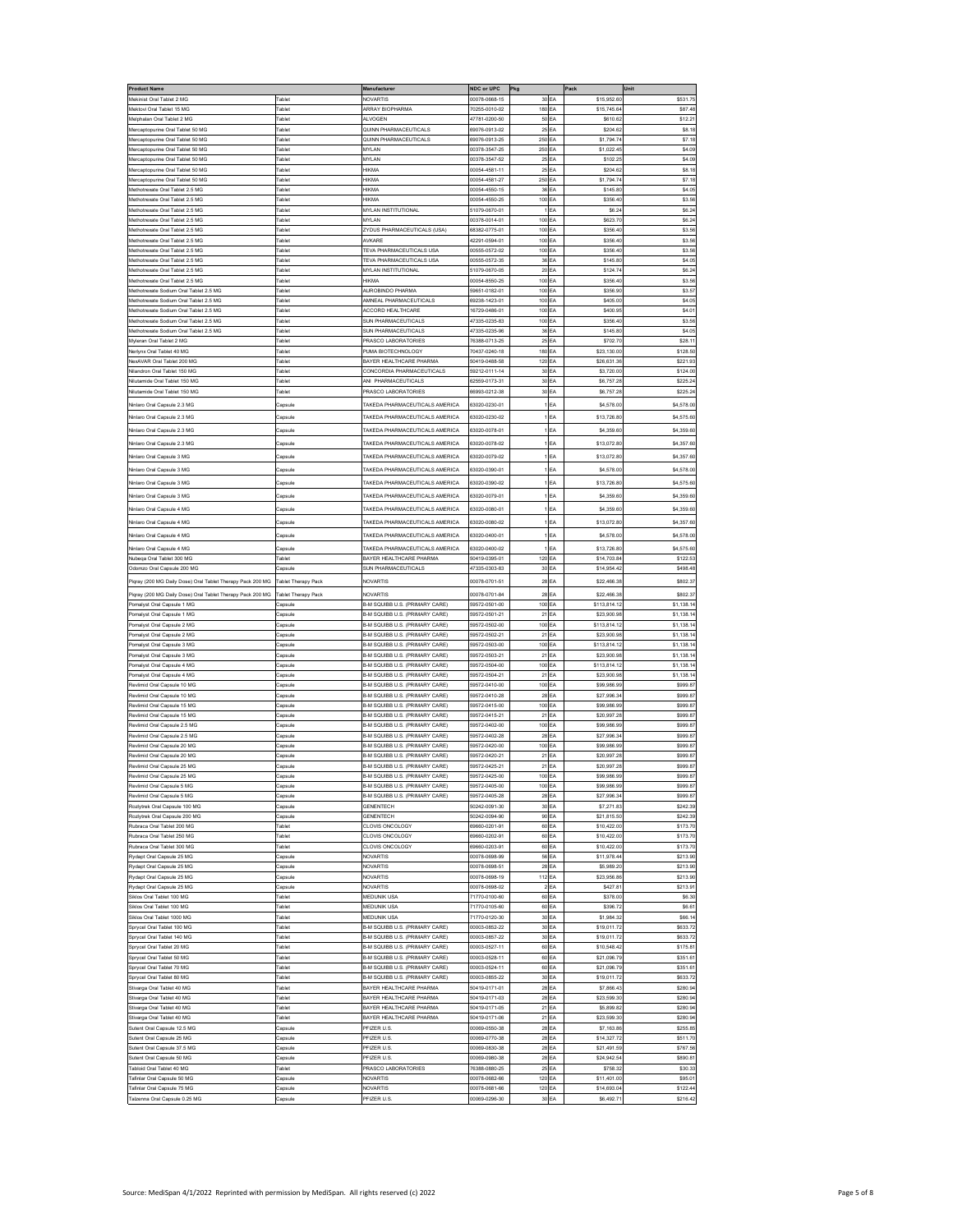| <b>Product Name</b>                                                    |                         | Manufacturer                                                          | NDC or UPC                     | Pkg              |          | Pack                       | Unit                     |
|------------------------------------------------------------------------|-------------------------|-----------------------------------------------------------------------|--------------------------------|------------------|----------|----------------------------|--------------------------|
| Mekinist Oral Tablet 2 MG                                              | 'ahlet                  | <b>JOVARTIS</b>                                                       | 00078-0668-15                  | 30 EA            |          | \$15,952.6                 | \$531.7                  |
| fektovi Oral Tablet 15 MG                                              | <b>Tablet</b>           | <b>KRAY BIOPHARMA</b>                                                 | 0255-0010-02                   | 180              | EA       | \$15,745.6                 | \$87.48                  |
| Melphalan Oral Tablet 2 MG                                             | 'ablet                  | <b>ALVOGEN</b>                                                        | 7781-0200-50                   | 50               | EA       | \$610.62                   | \$12.21                  |
| Mercaptopurine Oral Tablet 50 MG                                       | <b>Fablet</b>           | QUINN PHARMACEUTICALS                                                 | 9076-0913-02                   | 25 EA            |          | \$204.62                   | \$8.18                   |
| Mercaptopurine Oral Tablet 50 MG                                       | <b>Fablet</b>           | QUINN PHARMACEUTICALS                                                 | 69076-0913-25                  | 250              | EA       | \$1,794.7                  | \$7.18                   |
| Mercaptopurine Oral Tablet 50 MG                                       | <b>Tablet</b>           | MYLAN                                                                 | 0378-3547-25                   | 250              | EA       | \$1,022.45                 | \$4.09                   |
| Mercaptopurine Oral Tablet 50 MG                                       | <b>Fablet</b>           | MYLAN                                                                 | 0378-3547-52                   | 25               | EA       | \$102.2                    | \$4.09                   |
| ercaptopurine Oral Tablet 50 MG                                        | ablet                   | <b>IIKMA</b>                                                          | 00054-4581-11                  | 25               | EA       | \$204.6                    | \$8.18                   |
| Mercaptopurine Oral Tablet 50 MG                                       | <b>Tablet</b>           | <b>HIKMA</b>                                                          | 0054-4581-27                   | 250              | EA       | \$1,794.74                 | \$7.18                   |
| fethotrexate Oral Tablet 2.5 MG<br>lethotrexate Oral Tablet 2.5 MG     | <b>Fablet</b><br>'ablet | HIKMA<br><b>HIKMA</b>                                                 | 00054-4550-15<br>00054-4550-25 | 36 EA<br>100 EA  |          | \$145.80<br>\$356.4        | \$4.05<br>\$3.56         |
| fethotrexate Oral Tablet 2.5 MG                                        | ablet                   | <b>MYLAN INSTITUTIONAL</b>                                            | 51079-0670-01                  |                  | FA       | \$6.2                      | \$6.24                   |
| fethotrexate Oral Tablet 2.5 MG                                        | <b>Fablet</b>           | MYI AN                                                                | 0378-0014-01                   | 100              | EA       | \$623.7                    | S6.24                    |
| thotrexate Oral Tablet 2.5 MG                                          | ablet                   | YDUS PHARMACEUTICALS (USA)                                            | 3382-0775-01                   | 100              |          | \$356.4                    | \$3.56                   |
| lethotrexate Oral Tablet 2.5 MG                                        | <b>Tablet</b>           | WKARE                                                                 | 2291-0594-01                   | 100              | EA       | \$356.40                   | \$3.56                   |
| Methotrexate Oral Tablet 2.5 MG                                        | <b>Fablet</b>           | <b>TEVA PHARMACEUTICALS USA</b>                                       | 0555-0572-02                   | 100 EA           |          | \$356.40                   | \$3.56                   |
| fethotrexate Oral Tablet 2.5 MG                                        | 'ablet                  | TEVA PHARMACEUTICALS USA                                              | 0555-0572-35                   | 36               | EA       | \$145.80                   | \$4.05                   |
| Methotrexate Oral Tablet 2.5 MG                                        | <b>Fablet</b>           | MYLAN INSTITUTIONAL                                                   | 1079-0670-05                   | 20               | EA       | \$124.74                   | \$6.24                   |
| Methotrexate Oral Tablet 2.5 MG                                        | <b>Fablet</b>           | HIKMA                                                                 | 00054-8550-25                  | 100 EA           |          | \$356.40                   | \$3.56                   |
| lethotrexate Sodium Oral Tablet 2.5 MG                                 | ablet                   | <b>UROBINDO PHARMA</b>                                                | 9651-0182-01                   | 100              | EA       | \$356.90                   | \$3.57                   |
| lethotrexate Sodium Oral Tablet 2.5 MG                                 | <b>Fablet</b>           | MNEAL PHARMACEUTICALS                                                 | 9238-1423-01                   | 100              | EA       | \$405.00                   | \$4.05                   |
| Methotrexate Sodium Oral Tablet 2.5 MG                                 | <b>Tablet</b>           | <b>ACCORD HEALTHCARE</b>                                              | 16729-0486-01                  | 100              | EA       | \$400.95                   | \$4.01                   |
| ethotrexate Sodium Oral Tablet 2.5 MG                                  | 'ablet                  | <b>SUN PHARMACEUTICALS</b>                                            | 17335-0235-83                  | 100              | EA       | \$356.4                    | \$3.56                   |
| fethotrexate Sodium Oral Tablet 2.5 MG                                 | <b>Fablet</b>           | <b>SUN PHARMACEUTICALS</b>                                            | 17335-0235-96                  | 36               | EA       | \$145.80                   | \$4.05                   |
| Myleran Oral Tablet 2 MG                                               | ablet                   | PRASCO LABORATORIES                                                   | 76388-0713-25                  | 25               | FA       | \$702.70                   | \$28.11                  |
| lerlynx Oral Tablet 40 MG                                              | <b>Fablet</b>           | PUMA BIOTECHNOLOGY                                                    | 70437-0240-18                  | 180              | EA       | \$23,130.0                 | \$128.50                 |
| lexAVAR Oral Tablet 200 MG                                             | <b>Tablet</b>           | BAYER HEALTHCARE PHARMA                                               | 0419-0488-58                   | 120              | EA       | \$26,631.36                | \$221.93                 |
| Vilandron Oral Tablet 150 MG                                           | 'ablet                  | CONCORDIA PHARMACEUTICALS                                             | 9212-0111-14                   | 30               | EA       | \$3,720.00                 | \$124.00                 |
| Nilutamide Oral Tablet 150 MG                                          | <b>Fablet</b><br>Tablet | WI PHARMACEUTICALS<br>PRASCO LABORATORIES                             | 32559-0173-31<br>6993-0212-38  | 30 EA            |          | \$6,757.28                 | \$225.24                 |
| Nilutamide Oral Tablet 150 MG                                          |                         |                                                                       |                                | 30 EA            |          | \$6,757.28                 | \$225.24                 |
| Ninlaro Oral Capsule 2.3 MG                                            | Capsule                 | TAKEDA PHARMACEUTICALS AMERICA                                        | 33020-0230-01                  |                  | EA       | \$4,578.00                 | \$4,578.00               |
| linlaro Oral Capsule 2.3 MG                                            | Capsule                 | AKEDA PHARMACEUTICALS AMERICA                                         | 3020-0230-02                   |                  | EΑ       | \$13,726.8                 | \$4,575.60               |
| nlaro Oral Capsule 2.3 MG                                              | apsul                   | AKEDA PHARMACEUTICALS AMERICA                                         | 3020-0078-01                   |                  |          | \$4,359.6                  | \$4,359.60               |
| Vinlaro Oral Capsule 2.3 MG                                            | Capsule                 | TAKEDA PHARMACEUTICALS AMERICA                                        | 33020-0078-02                  |                  | EA       | \$13,072.80                | \$4,357.60               |
|                                                                        |                         |                                                                       |                                |                  |          |                            |                          |
| Ninlaro Oral Capsule 3 MG                                              | Capsule                 | TAKEDA PHARMACEUTICALS AMERICA                                        | 63020-0079-02                  |                  | EA       | \$13,072.80                | \$4,357.60               |
| Ninlaro Oral Capsule 3 MG                                              | Capsule                 | TAKEDA PHARMACEUTICALS AMERICA                                        | 33020-0390-01                  |                  | EA       | \$4,578.00                 | \$4,578.00               |
| linlaro Oral Capsule 3 MG                                              | Capsule                 | AKEDA PHARMACEUTICALS AMERICA                                         | 3020-0390-02                   |                  | EΑ       | \$13,726.8                 | \$4,575.60               |
| linlaro Oral Capsule 3 MG                                              | apsul                   | AKEDA PHARMACEUTICALS AMERICA                                         | 3020-0079-01                   |                  |          | \$4,359.6                  | \$4,359.60               |
|                                                                        |                         |                                                                       |                                |                  |          |                            |                          |
| Ninlaro Oral Cansule 4 MG                                              | Capsule                 | TAKEDA PHARMACEUTICALS AMERICA                                        | 33020-0080-01                  |                  | EA       | \$4,359.60                 | \$4,359.60               |
| Ninlaro Oral Capsule 4 MG                                              | Capsule                 | TAKEDA PHARMACEUTICALS AMERICA                                        | 33020-0080-02                  |                  | EA       | \$13,072.80                | \$4,357.60               |
| Ninlaro Oral Capsule 4 MG                                              | Capsule                 | TAKEDA PHARMACEUTICALS AMERICA                                        | 33020-0400-01                  |                  | EA       | \$4,578.00                 | \$4,578.00               |
| linlaro Oral Capsule 4 MG                                              | Capsule                 | AKEDA PHARMACEUTICALS AMERICA                                         | 3020-0400-02                   |                  | EΑ       | \$13,726.8                 | \$4,575.60               |
| Nubega Oral Tablet 300 MG                                              | Tablet                  | BAYER HEALTHCARE PHARMA                                               | 0419-0395-01                   | 120 EA           |          | \$14,703.84                | \$122.53                 |
| Odomzo Oral Capsule 200 MG                                             | Capsule                 | SUN PHARMACEUTICALS                                                   | 47335-0303-83                  | 30 EA            |          | \$14,954.42                | \$498.48                 |
|                                                                        |                         | <b>NOVARTIS</b>                                                       |                                |                  |          |                            |                          |
| <sup>9</sup> iqray (200 MG Daily Dose) Oral Tablet Therapy Pack 200 MG | Tablet Therapy Pack     |                                                                       | 00078-0701-51                  | 28               | EA       | \$22,466.38                | \$802.37                 |
| lgray (200 MG Daily Dose) Oral Tablet Therapy Pack 200 MG              | Tablet Therapy Pack     | <b>JOVARTIS</b>                                                       | 00078-0701-84                  | 28               | ΕA       | \$22,466.3                 | \$802.37                 |
| Pomalyst Oral Capsule 1 MG                                             | Capsule                 | 3-M SQUIBB U.S. (PRIMARY CARE)                                        | 9572-0501-00                   | 100              | EA       | \$113,814.12               | \$1,138.14               |
| omalyst Oral Capsule 1 MG                                              | Capsule                 | I-M SQUIBB U.S. (PRIMARY CARE)                                        | 9572-0501-21                   | 21               | EA       | \$23,900.98                | \$1,138.14               |
| Pomalyst Oral Capsule 2 MG                                             | Capsule                 | 3-M SQUIBB U.S. (PRIMARY CARE)                                        | 59572-0502-00                  | 100<br>21        | EA       | \$113,814.12               | \$1,138.14               |
| Pomalyst Oral Capsule 2 MG                                             | apsule                  | <b>B-M SQUIBB U.S. (PRIMARY CARE</b><br>3-M SQUIBB U.S. (PRIMARY CARE | 59572-0502-21                  |                  | EA       | \$23,900.98                | \$1,138.14               |
| omalyst Oral Capsule 3 MG<br>omalyst Oral Capsule 3 MG                 | Capsule<br>Capsule      | -M SQUIBB U.S. (PRIMARY CARE)                                         | 9572-0503-00<br>9572-0503-21   | 100 EA<br>21     |          | \$113,814.12<br>\$23,900.9 | \$1,138.14<br>\$1,138.14 |
| Omalyst Oral Capsule 4 MG                                              | Capsule                 | 3-M SQUIBB U.S. (PRIMARY CARE)                                        | 9572-0504-00                   | 100              | EA       | \$113,814.12               |                          |
| omalyst Oral Capsule 4 MG                                              | Capsule                 | 3-M SQUIBB U.S. (PRIMARY CARE                                         | 9572-0504-21                   | 21 EA            |          | \$23,900.98                | \$1,138.14<br>\$1,138.14 |
| tevlimid Oral Capsule 10 MG                                            | Capsuk                  | B-M SQUIBB U.S. (PRIMARY CARE)                                        | 59572-0410-00                  | 100 EA           |          | \$99,986.99                | \$999.87                 |
| Revlimid Oral Capsule 10 MG                                            | apsuk                   | <b>B-M SQUIBB U.S. (PRIMARY CARE</b>                                  | 59572-0410-28                  | 28               | EA       | \$27,996.3                 | \$999.87                 |
| Revlimid Oral Capsule 15 MG                                            | Capsuk                  | M SOURR U.S. (PRIMARY CARE                                            | 9572-0415-00                   | 100              | EA       | \$99,986.9                 | \$999.8                  |
| wlimid Oral Capsule 15 MC                                              | Capsule                 | -M SQUIBB U.S. (PRIMARY CARE)                                         | 9572-0415-21                   | 21               | EΑ       | \$20,997.2                 | \$999.87                 |
| Revlimid Oral Capsule 2.5 MG                                           | Capsule                 | M SQUIBB U.S. (PRIMARY CARE)                                          | 9572-0402-00                   | 100              | EA       | \$99,986.99                | \$999.87                 |
| Revlimid Oral Capsule 2.5 MG                                           | Capsule                 | 3-M SQUIBB U.S. (PRIMARY CARE)                                        | 9572-0402-28                   | 28               | EA       | \$27,996.34                | \$999.87                 |
| Revlimid Oral Capsule 20 MG                                            | apsuk                   | <b>B-M SQUIBB U.S. (PRIMARY CARE)</b>                                 | 9572-0420-00                   | 100              | EA       | \$99,986.99                | \$999.87                 |
| Revlimid Oral Capsule 20 MG                                            | Capsuk                  | B-M SQUIBB U.S. (PRIMARY CARE)                                        | 59572-0420-21                  | 2 <sup>1</sup>   | EA       | \$20,997.28                | \$999.87                 |
| Revlimid Oral Cansule 25 MG                                            | Capsule                 | B-M SQUIBB U.S. (PRIMARY CARE)                                        | 59572-0425-21                  | 21               | EA       | \$20.997.28                | \$999.87                 |
| Revlimid Oral Capsule 25 MG                                            | Capsule                 | B-M SQUIBB U.S. (PRIMARY CARE)                                        | 59572-0425-00                  | 100              | EA       | \$99,986.99                | \$999.87                 |
| Revlimid Oral Capsule 5 MG                                             | Capsule                 | I-M SQUIBB U.S. (PRIMARY CARE)                                        | 9572-0405-00                   | 100 EA           |          | \$99,986.99                | \$999.87                 |
| Revlimid Oral Capsule 5 MG                                             | Capsule                 | B-M SQUIBB U.S. (PRIMARY CARE)                                        | 59572-0405-28                  | 28               | EA       | \$27,996.34                | \$999.87                 |
| toziytrek Oral Capsule 100 MG                                          | Capsule                 | <b>SENENTECH</b>                                                      | 60242-0091-30                  | 30               | EA       | \$7,271.83                 | \$242.39                 |
| Rozlytrek Oral Capsule 200 MG                                          | Capsule                 | <b>GENENTECH</b>                                                      | 50242-0094-90                  | 90 EA            |          | \$21,815.50                | \$242.39                 |
| Rubraca Oral Tablet 200 MG                                             | <b>Tablet</b><br>ablet  | <b>CLOVIS ONCOLOGY</b>                                                | 39660-0201-91                  | 60 <sub>EA</sub> |          | \$10,422.00                | \$173.70                 |
| Rubraca Oral Tablet 250 MG<br>Rubraca Oral Tablet 300 MG               | ablet                   | CLOVIS ONCOLOGY<br><b>LOVIS ONCOLOGY</b>                              | 9660-0202-91<br>9660-0203-91   | 60<br>60         | EA<br>EA | \$10,422.00<br>\$10,422.00 | \$173.70<br>\$173.70     |
| Rydapt Oral Capsule 25 MG                                              | apsule                  | NOVARTIS                                                              | 00078-0698-99                  | 56               | EA       | \$11,978.44                | \$213.90                 |
| <b>Rydapt Oral Capsule 25 MG</b>                                       | Capsule                 | <b>JOVARTIS</b>                                                       | 0078-0698-51                   | 28 EA            |          | \$5,989.20                 | \$213.90                 |
| Rydapt Oral Capsule 25 MG                                              | Capsule                 | NOVARTIS                                                              | 00078-0698-19                  | 112 EA           |          | \$23,956.86                | \$213.90                 |
| Rydapt Oral Capsule 25 MG                                              | apsule                  | NOVARTIS                                                              | 00078-0698-02                  | 2 <sub>EA</sub>  |          | \$427.81                   | \$213.91                 |
| Siklos Oral Tablet 100 MG                                              | <b>Fablet</b>           | MEDUNIK US                                                            | 1770-0100-60                   | 60 EA            |          | \$378.00                   | \$6.30                   |
| Siklos Oral Tablet 100 MG                                              | ablet                   | <b>JEDUNIK USA</b>                                                    | 1770-0105-60                   | 60               | EA       | \$396.7                    | \$6.61                   |
| Siklos Oral Tablet 1000 MG                                             | ablet                   | <b>MEDUNIK USA</b>                                                    | 1770-0120-30                   | 30               | EA       | \$1,984.32                 | \$66.14                  |
| Sprycel Oral Tablet 100 MG                                             | <b>Fablet</b>           | 3-M SQUIBB U.S. (PRIMARY CARE)                                        | 0003-0852-22                   | 30 EA            |          | \$19,011.72                | \$633.72                 |
| Sprycel Oral Tablet 140 MG                                             | ablet                   | <b>B-M SQUIBB U.S. (PRIMARY CARE)</b>                                 | 00003-0857-22                  | 30 EA            |          | \$19,011.72                | \$633.72                 |
| Sprycel Oral Tablet 20 MG                                              | ablet                   | B-M SQUIBB U.S. (PRIMARY CARE)                                        | 00003-0527-11                  | 60               | EA       | \$10.548.4                 | \$175.81                 |
| prycel Oral Tablet 50 MG                                               | <b>Fablet</b>           | 3-M SQUIBB U.S. (PRIMARY CARE                                         | 10003-0528-11                  | 60 EA            |          | \$21,096.79                | \$351.61                 |
| Sprycel Oral Tablet 70 MG                                              | ablet                   | <b>I-M SQUIBB U.S. (PRIMARY CARE)</b>                                 | 0003-0524-11                   | 60               | EA       | \$21,096.7                 | \$351.61                 |
| Sprycel Oral Tablet 80 MG                                              | <b>Tablet</b>           | M SQUIBB U.S. (PRIMARY CARE)                                          | 0003-0855-22                   | 30               | EA       | \$19,011.72                | \$633.72                 |
| Stivarga Oral Tablet 40 MG                                             | <b>Fablet</b>           | BAYER HEALTHCARE PHARMA                                               | 0419-0171-01                   | 28 EA            |          | \$7,866.43                 | \$280.94                 |
| Stivarga Oral Tablet 40 MG                                             | ablet                   | BAYER HEALTHCARE PHARMA                                               | 50419-0171-03                  | 28 EA            |          | \$23,599.30                | \$280.94                 |
| Stivarga Oral Tablet 40 MG                                             | <b>Fablet</b>           | BAYER HEALTHCARE PHARMA                                               | 50419-0171-05                  | 21               | EA       | \$5,899.82                 | \$280.94                 |
| Stivarga Oral Tablet 40 MG                                             | <b>Fablet</b>           | BAYER HEALTHCARE PHARMA                                               | 50419-0171-06                  | 21 EA            |          | \$23,599.30                | \$280.94                 |
| utent Oral Capsule 12.5 MG                                             | Capsule                 | <b>FIZER U.S</b>                                                      | 00069-0550-38                  | 28               | EA       | \$7,163.8                  | \$255.85                 |
| Sutent Oral Capsule 25 MG                                              | Capsule                 | <b>PFIZER U.S</b><br>PFIZER U.S                                       | 00069-0770-38<br>00069-0830-38 | 28<br>28 EA      | EA       | \$14,327.72<br>\$21.491.59 | \$511.70<br>\$767.56     |
| Sutent Oral Capsule 37.5 MG                                            | apsule                  |                                                                       |                                |                  |          |                            |                          |
| utent Oral Capsule 50 MG<br>Tabloid Oral Tablet 40 MG                  | Capsule<br>Tablet       | <b>FIZER U.S</b><br>PRASCO LABORATORIES                               | 00069-0980-38<br>76388-0880-25 | 28<br>25         | EA<br>EA | \$24,942.5<br>\$758.32     | \$890.81<br>\$30.33      |
| Fafinlar Oral Capsule 50 MG                                            | apsule                  | NOVARTIS                                                              | 00078-0682-66                  | 120              | EA       | \$11,401.00                | \$95.01                  |
| Fafinlar Oral Capsule 75 MG                                            | Capsule                 | <b>VOVARTIS</b>                                                       | 00078-0681-66                  | 120              | EA       | \$14,693.04                | \$122.44                 |
| Talzenna Oral Capsule 0.25 MG                                          | Capsule                 | PFIZER U.S                                                            | 00069-0296-30                  | 30               | EA       | \$6,492.7                  | \$216.42                 |
|                                                                        |                         |                                                                       |                                |                  |          |                            |                          |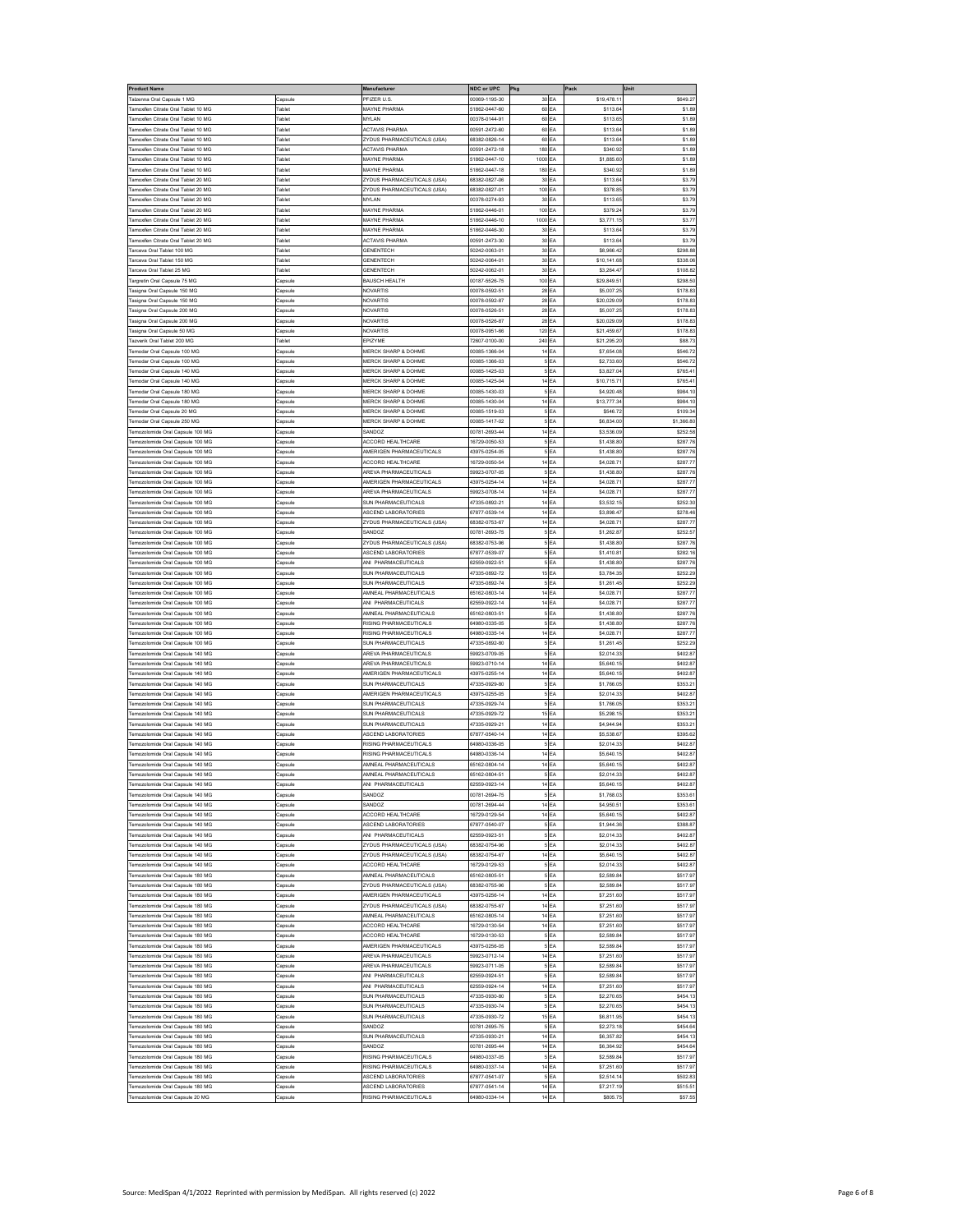| Product Name                                                             |                                | Manufacture                                                             | NDC or UPC                     | Pkg                                |          | Pack                      | Unit                   |
|--------------------------------------------------------------------------|--------------------------------|-------------------------------------------------------------------------|--------------------------------|------------------------------------|----------|---------------------------|------------------------|
| alzenna Oral Capsule 1 MG<br>oxifen Citrate Oral Tablet 10 MG            | Capsule<br><b>Fablet</b>       | <b>PFIZER U.S</b><br>MAYNE PHARMA                                       | 00069-1195-30<br>1862-0447-60  | 30<br>60                           | EA<br>EA | \$19,478.1<br>\$113.6     | \$649.27<br>\$1.89     |
| moxifen Citrate Oral Tablet 10 MG                                        |                                | <b>IYLAN</b>                                                            | 0378-0144-91                   | 60                                 | EA       | \$113.6                   | \$1.89                 |
| amoxifen Citrate Oral Tablet 10 MG                                       | <b>Tablet</b>                  | <b>ACTAVIS PHARMA</b>                                                   | 0591-2472-60                   | 60                                 | EA       | \$113.64                  | \$1.89                 |
| amoxifen Citrate Oral Tablet 10 MG                                       | ablet                          | <b>ZYDUS PHARMACEUTICALS (USA)</b>                                      | 8382-0826-14                   | 60                                 | EA       | \$113.64                  | \$1.89                 |
| amoxifen Citrate Oral Tablet 10 MG                                       | ablet                          | <b>ACTAVIS PHARMA</b>                                                   | 0591-2472-18                   | 180                                | EA       | \$340.92                  | \$1.89                 |
| amoxifen Citrate Oral Tablet 10 MG<br>amoxifen Citrate Oral Tablet 10 MG | <b>Fablet</b><br><b>Tablet</b> | MAYNE PHARMA<br><b>MAYNE PHARMA</b>                                     | 1862-0447-10<br>1862-0447-18   | 1000<br>180                        | EA<br>EA | \$1,885.60<br>\$340.92    | \$1.89<br>\$1.89       |
| amoxifen Citrate Oral Tablet 20 MC                                       |                                | YDUS PHARMACEUTICALS (USA)                                              | 8382-0827-06                   | 30                                 | EA       | \$113.64                  | \$3.79                 |
| amoxifen Citrate Oral Tablet 20 MG                                       | ablet                          | <b>ZYDUS PHARMACEUTICALS (USA)</b>                                      | 8382-0827-01                   | 100                                | EA       | \$378.85                  | \$3.79                 |
| amoxifen Citrate Oral Tablet 20 MG                                       | <b>Tablet</b>                  | <b>MYLAN</b>                                                            | 0378-0274-93                   | 30                                 | EA       | \$113.65                  | \$3.79                 |
| amoxifen Citrate Oral Tablet 20 MG                                       | 'ablet                         | <b>AAYNE PHARMA</b>                                                     | 1862-0446-01                   | 100                                | EA       | \$379.2                   | \$3.79                 |
| amoxifen Citrate Oral Tablet 20 MG<br>amoxifen Citrate Oral Tablet 20 MG | Tablet<br><b>Tablet</b>        | MAYNE PHARMA<br><b>MAYNE PHARMA</b>                                     | 1862-0446-10<br>1862-0446-30   | 1000<br>30                         | EA<br>EA | \$3,771.15<br>\$113.64    | \$3.77<br>\$3.79       |
| oxifen Citrate Oral Tablet 20 MG                                         | <b>Tablet</b>                  | <b>ACTAVIS PHARMA</b>                                                   | 10591-2473-30                  | 30                                 | EA       | \$113.6                   | \$3.7                  |
| arceva Oral Tablet 100 MG                                                | <b>Fablet</b>                  | <b>GENENTECH</b>                                                        | 0242-0063-01                   | 30                                 | EA       | \$8,966.4                 | \$298.88               |
| arceva Oral Tablet 150 MG                                                | 'ablet                         | <b>GENENTECH</b>                                                        | 0242-0064-01                   | 30                                 | EA       | \$10,141.68               | \$338.06               |
| arceva Oral Tablet 25 MG                                                 | ablet                          | SENENTECH                                                               | 0242-0062-01                   | 30                                 | EA       | \$3,264.47                | \$108.82               |
| argretin Oral Capsule 75 MG<br>asigna Oral Capsule 150 MG                | Capsule<br>apsuk               | BAUSCH HEALTH<br>VOVARTIS                                               | 0187-5526-75<br>00078-0592-51  | 100 EA<br>28                       | EA       | \$29,849.5<br>\$5,007.25  | \$298.50<br>\$178.83   |
| asigna Oral Capsule 150 MG                                               | Capsuk                         | VOVARTIS                                                                | 00078-0592-87                  | 28 EA                              |          | \$20,029.0                | \$178.8                |
| asigna Oral Capsule 200 MG                                               | apsule                         | <b>JOVARTIS</b>                                                         | 0078-0526-51                   | 28                                 | EA       | \$5,007.2                 | \$178.8                |
| asigna Oral Capsule 200 MG                                               | Capsule                        | <b>VOVARTIS</b>                                                         | 0078-0526-87                   | 28                                 | EA       | \$20,029.09               | \$178.83               |
| asigna Oral Capsule 50 MG                                                | Capsuk                         | VOVARTIS                                                                | 0078-0951-66                   | 120                                | EA       | \$21,459.67               | \$178.83               |
| azverik Oral Tablet 200 MG<br>emodar Oral Capsule 100 MG                 | ablet<br>Capsuk                | EPIZYME<br><b>MERCK SHARP &amp; DOHME</b>                               | 2607-0100-00<br>00085-1366-04  | 240 EA<br>14                       | EA       | \$21,295.20<br>\$7,654.08 | \$88.73<br>\$546.72    |
| nodar Oral Capsule 100 MG                                                | apsuk                          | <b><i>MERCK SHARP &amp; DOHME</i></b>                                   | 00085-1366-03                  | 5 <sub>EA</sub>                    |          | \$2,733.60                | \$546.7                |
| modar Oral Capsule 140 MG                                                | apsuk                          | <b>IERCK SHARP &amp; DOHME</b>                                          | 0085-1425-03                   | 5                                  | EA       | \$3,827.0                 | \$765.4                |
| emodar Oral Capsule 140 MG                                               | apsule                         | <b>MERCK SHARP &amp; DOHME</b>                                          | 0085-1425-04                   | 14                                 | EA       | \$10,715.7                | \$765.41               |
| emodar Oral Capsule 180 MG                                               | .<br>Capsule                   | <b><i>MERCK SHARP &amp; DOHME</i></b>                                   | 00085-1430-03                  |                                    | EA       | \$4,920.48                | \$984.10               |
| emodar Oral Capsule 180 MG                                               | apsuk                          | <b><i>MERCK SHARP &amp; DOHME</i></b>                                   | 00085-1430-04<br>00085-1519-03 | 14 EA                              |          | \$13,777.3                | \$984.10               |
| emodar Oral Capsule 20 MG<br>emodar Oral Capsule 250 MG                  | Capsule<br>apsule              | <b>MERCK SHARP &amp; DOHME</b><br><b><i>MERCK SHARP &amp; DOHME</i></b> | 00085-1417-02                  | 5EA<br>5 <sub>EA</sub>             |          | \$546.72<br>\$6,834.00    | \$109.34<br>\$1,366.80 |
| olomide Oral Capsule 100 MC                                              | apsule                         | <b>ANDO</b>                                                             | 0781-2693-44                   | 14                                 | EA       | \$3,536.09                | \$252.5                |
| emozolomide Oral Capsule 100 MG                                          | apsule                         | <b>ACCORD HEALTHCARE</b>                                                | 6729-0050-53                   | 5                                  | EA       | \$1,438.80                | \$287.76               |
| emozolomide Oral Capsule 100 MG                                          | Capsule                        | MERIGEN PHARMACEUTICALS                                                 | 13975-0254-05                  | 5                                  | EA       | \$1,438.80                | \$287.76               |
| mozolomide Oral Capsule 100 MG                                           | apsuk                          | <b>CCORD HEALTHCARE</b>                                                 | 6729-0050-54<br>59923-0707-05  | 14 EA<br>5 <sub>EA</sub>           |          | \$4,028.7                 | \$287.7                |
| emozolomide Oral Capsule 100 MG<br>emozolomide Oral Capsule 100 MG       | Capsuk<br>apsuk                | <b>AREVA PHARMACEUTICALS</b><br>MERIGEN PHARMACEUTICALS                 | 13975-0254-14                  | 14                                 | EA       | \$1,438.80<br>\$4,028.7   | \$287.76<br>\$287.7    |
| ozolomide Oral Capsule 100 MC                                            | apsuk                          | <b>AREVA PHARMACEUTICALS</b>                                            | 9923-0708-14                   | 14                                 | EA       | \$4,028.7                 | \$287.7                |
| emozolomide Oral Capsule 100 MG                                          | Capsule                        | <b>SUN PHARMACEUTICALS</b>                                              | 17335-0892-21                  | 14                                 | EA       | \$3,532.1                 | \$252.30               |
| emozolomide Oral Capsule 100 MG                                          | apsule                         | <b>ASCEND LABORATORIES</b>                                              | 14477-0539-14                  | 14                                 | EA       | \$3,898.47                | \$278.46               |
| emozolomide Oral Capsule 100 MG                                          | .<br>Capsule                   | YDUS PHARMACEUTICALS (USA)                                              | 8382-0753-67                   | 14 EA                              |          | \$4,028.7                 | \$287.77               |
| emozolomide Oral Capsule 100 MG                                          | Capsule<br>Capsule             | SANDOZ<br><b>ZYDUS PHARMACEUTICALS (USA</b>                             | 0781-2693-75<br>8382-0753-96   | 5 <sub>EA</sub><br>5 <sub>EA</sub> |          | \$1,262.87<br>\$1,438.80  | \$252.57<br>\$287.76   |
| emozolomide Oral Capsule 100 MG<br>emozolomide Oral Capsule 100 MG       | Capsule                        | <b>ASCEND LABORATORIES</b>                                              | 37877-0539-07                  | 5 <sub>EA</sub>                    |          | \$1,410.8                 | \$282.16               |
| zolomide Oral Capsule 100 MG                                             | apsule                         | WI PHARMACEUTICALS                                                      | 2559-0922-5                    | 5                                  | EA       | \$1,438.80                | \$287.76               |
| emozolomide Oral Capsule 100 MG                                          | apsule                         | <b>SUN PHARMACEUTICALS</b>                                              | 17335-0892-72                  | 15                                 | EA       | \$3,784.3                 | \$252.29               |
| emozolomide Oral Capsule 100 MG                                          | Capsule                        | <b>SUN PHARMACEUTICALS</b>                                              | 17335-0892-74                  | 5 <sub>EA</sub>                    |          | \$1,261.45                | \$252.29               |
| emozolomide Oral Capsule 100 MG<br>emozolomide Oral Capsule 100 MG       | Capsuk<br>Capsule              | MNEAL PHARMACEUTICALS<br>MI PHARMACEUTICALS                             | 35162-0803-14<br>62559-0922-14 | 14 EA<br>14                        | EA       | \$4,028.7<br>\$4,028.7    | \$287.7<br>\$287.77    |
| szolomide Oral Capsule 100 MG                                            | apsuk                          | MNEAL PHARMACEUTICALS                                                   | 5162-0803-51                   | 5 <sub>EA</sub>                    |          | \$1,438.80                | \$287.7                |
| mozolomide Oral Capsule 100 MG                                           | apsule                         | <b>RISING PHARMACEUTICALS</b>                                           | 4980-0335-05                   | 5                                  | EA       | \$1,438.8                 | \$287.76               |
| emozolomide Oral Capsule 100 MG                                          | apsule                         | <b>RISING PHARMACEUTICALS</b>                                           | 4980-0335-14                   | 14                                 | EA       | \$4,028.7                 | \$287.77               |
| emozolomide Oral Capsule 100 MG                                          | .<br>Capsule                   | <b>SUN PHARMACEUTICALS</b>                                              | 17335-0892-80                  | 5                                  | EA       | \$1,261.45                | \$252.29               |
| emozolomide Oral Capsule 140 MG<br>emozolomide Oral Capsule 140 MG       | Capsuk<br>Capsule              | <b>AREVA PHARMACEUTICALS</b><br><b>AREVA PHARMACEUTICALS</b>            | 9923-0709-05<br>59923-0710-14  | 5 <sub>EA</sub><br>14 EA           |          | \$2,014.33<br>\$5,640.15  | \$402.87<br>\$402.87   |
| emozolomide Oral Capsule 140 MG                                          | apsule                         | MERIGEN PHARMACEUTICALS                                                 | 13975-0255-14                  | 14 EA                              |          | \$5,640.15                | \$402.87               |
| olomide Oral Capsule 140 MC                                              | Capsule                        | <b>SUN PHARMACEUTIC</b>                                                 | 7335-0929-80                   | $\mathfrak s$                      | EA       | \$1,766.0                 | \$353.2                |
| emozolomide Oral Capsule 140 MG                                          | apsule                         | MERIGEN PHARMACEUTICALS                                                 | 13975-0255-05                  |                                    | EA       | \$2,014.33                | \$402.87               |
| emozolomide Oral Capsule 140 MG                                          | Capsule                        | <b>SUN PHARMACEUTICALS</b>                                              | 17335-0929-74                  | 5                                  | EA       | \$1,766.05                | \$353.21               |
| mozolomide Oral Capsule 140 MG<br>emozolomide Oral Capsule 140 MG        | apsuk<br>Capsuk                | <b>SUN PHARMACEUTICALS</b><br><b>SUN PHARMACEUTICALS</b>                | 7335-0929-72<br>47335-0929-21  | 15 <sub>EA</sub><br>14             | EA       | \$5,298.15<br>\$4,944.94  | \$353.2<br>\$353.21    |
| emozolomide Oral Capsule 140 MG                                          | apsuk                          | <b>ASCEND LARORATORIES</b>                                              | 37877-0540-14                  | 14 EA                              |          | \$5,538.67                | \$395.62               |
| zolomide Oral Capsule 140 MG                                             | apsuk                          | <b>RISING PHARMACEUTICALS</b>                                           | 4980-0336-05                   | $\overline{5}$                     | EA       | \$2,014.33                | \$402.8                |
| emozolomide Oral Capsule 140 MG                                          | Capsule                        | <b>RISING PHARMACEUTICALS</b>                                           | 4980-0336-14                   | 14                                 | EA       | \$5,640.1                 | \$402.87               |
| emozolomide Oral Capsule 140 MG                                          | Capsule                        | MNEAL PHARMACEUTICALS                                                   | 65162-0804-14                  | 14                                 | EA       | \$5,640.15                | \$402.87               |
| emozolomide Oral Capsule 140 MG<br>emozolomide Oral Capsule 140 MG       | Capsule<br>apsule              | MNEAL PHARMACEUTICALS<br><b>NI PHARMACEUTICALS</b>                      | 5162-0804-51<br>32559-0923-14  | 5<br>14                            | EA<br>EA | \$2,014.33<br>\$5,640.15  | \$402.87<br>\$402.87   |
| emozolomide Oral Capsule 140 MG                                          | Capsule                        | SANDOZ                                                                  | 0781-2694-75                   | 5 <sub>EA</sub>                    |          | \$1,768.03                | \$353.61               |
| emozolomide Oral Capsule 140 MG                                          | Capsule                        | SANDOZ                                                                  | 0781-2694-44                   | 14 EA                              |          | \$4,950.5                 | \$353.61               |
| emozolomide Oral Capsule 140 MG                                          | apsule                         | <b>ACCORD HEALTHCARE</b>                                                | 6729-0129-54                   | 14 EA                              |          | \$5,640.15                | \$402.87               |
| emozolomide Oral Capsule 140 MG                                          | Capsule                        | <b>ASCEND LABORATORIES</b>                                              | 7877-0540-07                   | 5EA                                |          | \$1,944.36                | \$388.87               |
| emozolomide Oral Capsule 140 MG<br>emozolomide Oral Capsule 140 MG       | Capsule<br>Capsule             | <b>NI PHARMACEUTICALS</b><br><b>ZYDUS PHARMACEUTICALS (USA)</b>         | 32559-0923-51<br>8382-0754-96  | 5 <sub>EA</sub><br>5EA             |          | \$2,014.33<br>\$2,014.33  | \$402.87<br>\$402.87   |
| emozolomide Oral Capsule 140 MG                                          | Capsule                        | ZYDUS PHARMACEUTICALS (USA)                                             | 68382-0754-67                  | 14 EA                              |          | \$5,640.15                | \$402.87               |
| ozolomide Oral Capsule 140 MG                                            | Capsule                        | <b>ACCORD HEALTHCARE</b>                                                | 16729-0129-53                  | 5 <sub>EA</sub>                    |          | \$2,014.33                | \$402.87               |
| mozolomide Oral Capsule 180 MG                                           | apsule                         | <b>MNEAL PHARMACEUTICALS</b>                                            | 5162-0805-51                   | 5 <sub>EA</sub>                    |          | \$2,589.84                | \$517.97               |
| emozolomide Oral Capsule 180 MG                                          | Capsule                        | YDUS PHARMACEUTICALS (USA)                                              | 8382-0755-96                   |                                    | EA       | \$2,589.84                | \$517.97               |
| emozolomide Oral Capsule 180 MG<br>emozolomide Oral Capsule 180 MG       | Capsule<br>Capsule             | MERIGEN PHARMACEUTICALS<br><b>ZYDUS PHARMACEUTICALS (USA)</b>           | 13975-0256-14<br>8382-0755-67  | 14 EA<br>14 EA                     |          | \$7,251.60<br>\$7,251.60  | \$517.97<br>\$517.97   |
| emozolomide Oral Capsule 180 MG                                          | Capsule                        | MNEAL PHARMACEUTICALS                                                   | 65162-0805-14                  | 14 EA                              |          | \$7,251.60                | \$517.97               |
| emozolomide Oral Capsule 180 MG                                          | Capsule                        | <b>ACCORD HEALTHCARE</b>                                                | 16729-0130-54                  | 14 EA                              |          | \$7,251.60                | \$517.97               |
| emozolomide Oral Capsule 180 MG                                          | Capsule                        | <b>ACCORD HEALTHCARE</b>                                                | 6729-0130-53                   | 5EA                                |          | \$2,589.84                | \$517.97               |
| emozolomide Oral Capsule 180 MG                                          | Capsule                        | MERIGEN PHARMACEUTICALS                                                 | 13975-0256-05                  | 5EA                                |          | \$2,589.84                | \$517.97               |
| emozolomide Oral Cansule 180 MG<br>emozolomide Oral Capsule 180 MG       | Capsule                        | <b>AREVA PHARMACEUTICALS</b>                                            | 9923-0712-14                   | 14 EA                              |          | \$7,251.60<br>\$2,589.84  | \$517.97               |
| emozolomide Oral Capsule 180 MG                                          | Capsule<br>Capsule             | <b>AREVA PHARMACEUTICALS</b><br>ANI PHARMACEUTICALS                     | 9923-0711-05<br>62559-0924-51  | 5EA<br>5EA                         |          | \$2,589.84                | \$517.97<br>\$517.97   |
| emozolomide Oral Capsule 180 MG                                          | Capsule                        | <b>NI PHARMACEUTICALS</b>                                               | 32559-0924-14                  | 14 EA                              |          | \$7,251.60                | \$517.97               |
| nozolomide Oral Capsule 180 MG                                           | Capsule                        | SUN PHARMACEUTICALS                                                     | 17335-0930-80                  | 5 <sub>EA</sub>                    |          | \$2,270.65                | \$454.13               |
| emozolomide Oral Capsule 180 MG                                          | Capsule                        | <b>SUN PHARMACEUTICALS</b>                                              | 17335-0930-74                  | 5                                  | EA       | \$2,270.65                | \$454.13               |
| emozolomide Oral Capsule 180 MG                                          | Capsule<br>Capsule             | <b>SUN PHARMACEUTICALS</b><br>SANDOZ                                    | 17335-0930-72                  | 15 EA<br>5 <sub>EA</sub>           |          | \$6,811.95                | \$454.13<br>\$454.64   |
| emozolomide Oral Capsule 180 MG<br>emozolomide Oral Capsule 180 MG       | Capsule                        | SUN PHARMACEUTICALS                                                     | 0781-2695-75<br>17335-0930-21  | 14 EA                              |          | \$2,273.18<br>\$6,357.82  | \$454.13               |
| emozolomide Oral Capsule 180 MG                                          | Capsule                        | SANDOZ                                                                  | 0781-2695-44                   | 14 EA                              |          | \$6,364.92                | \$454.64               |
| emozolomide Oral Capsule 180 MG                                          | Capsule                        | RISING PHARMACEUTICALS                                                  | 4980-0337-05                   | 5EA                                |          | \$2,589.84                | \$517.97               |
| emozolomide Oral Capsule 180 MG                                          | apsule                         | RISING PHARMACEUTICALS                                                  | 4980-0337-14                   | 14 EA                              |          | \$7,251.60                | \$517.97               |
| emozolomide Oral Capsule 180 MG                                          | Capsule                        | <b>ASCEND LABORATORIES</b>                                              | 37877-0541-07                  | 5EA                                |          | \$2,514.14                | \$502.83               |
| emozolomide Oral Capsule 180 MG<br>emozolomide Oral Capsule 20 MG        | Capsule<br>Capsule             | <b>ASCEND LABORATORIES</b><br>RISING PHARMACEUTICALS                    | 37877-0541-14<br>34980-0334-14 | 14 EA<br>14 EA                     |          | \$7,217.19<br>\$805.75    | \$515.51<br>\$57.55    |
|                                                                          |                                |                                                                         |                                |                                    |          |                           |                        |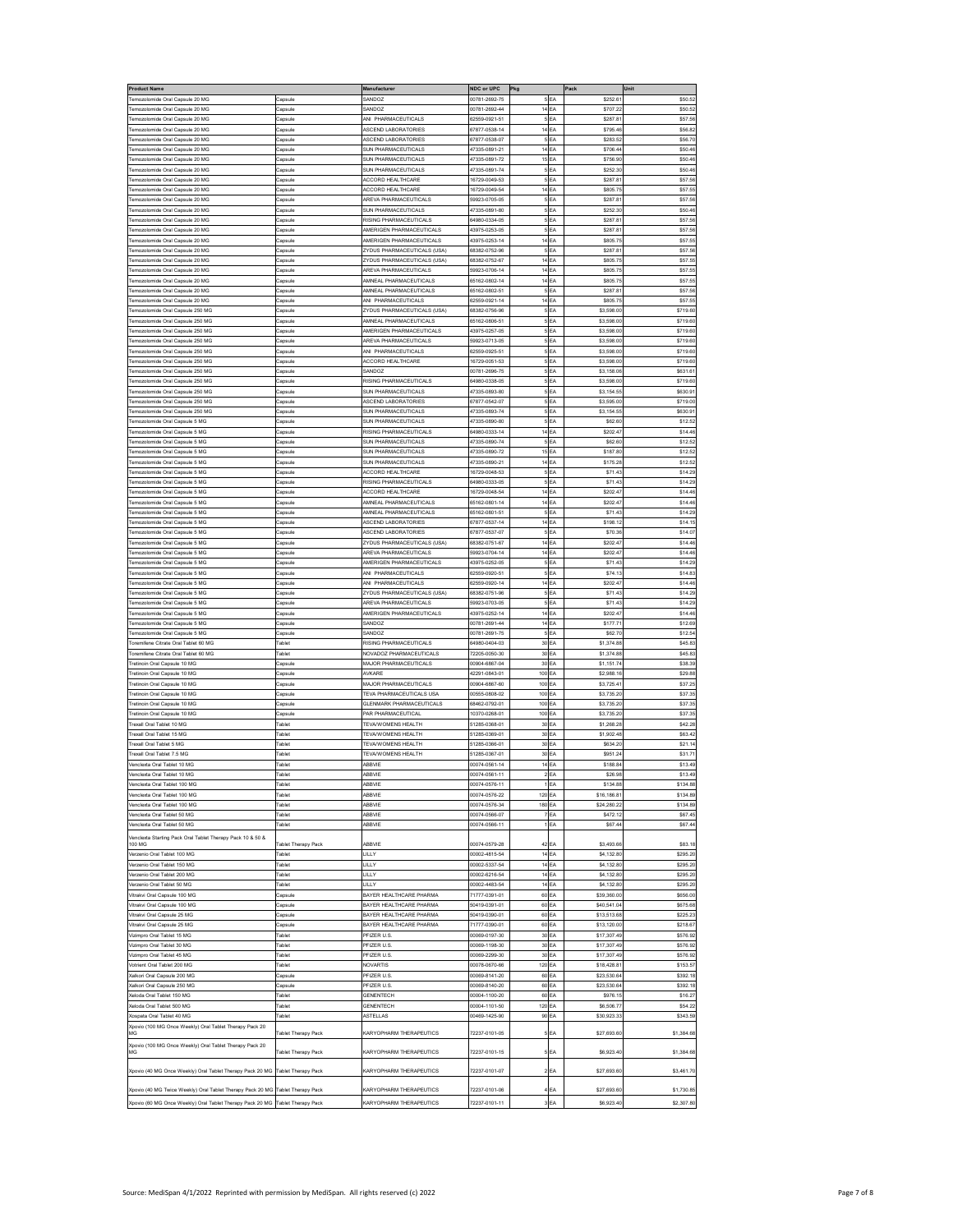| roduct Name                                                                    |                     | Manufacturer                                     | NDC or UPC                     | Pkg                      |                                    | Pack                       | Unit                 |
|--------------------------------------------------------------------------------|---------------------|--------------------------------------------------|--------------------------------|--------------------------|------------------------------------|----------------------------|----------------------|
| emozolomide Oral Capsule 20 MG                                                 | Capsule             | SANDOZ                                           | 00781-2692-75                  |                          | 5 <sub>EA</sub>                    | \$252.6                    | \$50.52              |
| Femozolomide Oral Capsule 20 MG                                                | apsule              | SANDOZ                                           | 00781-2692-44                  | 14 <sub>EA</sub>         |                                    | \$707.2                    | \$50.52              |
| nozolomide Oral Capsule 20 MG                                                  | Capsule             | <b>NI PHARMACEUTICALS</b>                        | 32559-0921-51                  |                          | 5 <sub>EA</sub>                    | \$287.8                    | \$57.56              |
| emozolomide Oral Capsule 20 MG                                                 | apsule              | SCEND LABORATORIES                               | 7877-0538-14                   | 14                       | EA                                 | \$795.46                   | \$56.82              |
| emozolomide Oral Capsule 20 MG                                                 | Capsule             | <b>ASCEND LABORATORIES</b>                       | 67877-0538-07                  | $\overline{\phantom{a}}$ | EA                                 | \$283.5                    | \$56.70              |
| emozolomide Oral Capsule 20 MG                                                 | Capsule             | SUN PHARMACEUTICALS                              | 17335-0891-21                  | 14 EA                    |                                    | \$706.44                   | \$50.46              |
| emozolomide Oral Capsule 20 MG                                                 | Capsule             | SUN PHARMACEUTICALS                              | 47335-0891-72                  | 15 EA                    |                                    | \$756.90                   | \$50.46              |
| emozolomide Oral Capsule 20 MG                                                 | Capsule             | <b>SUN PHARMACEUTICALS</b>                       | 47335-0891-74                  |                          | 5 <sub>EA</sub>                    | \$252.30                   | \$50.46              |
| emozolomide Oral Capsule 20 MG                                                 | Capsule             | <b>ACCORD HEALTHCARE</b>                         | 16729-0049-53                  |                          | 5 <sub>EA</sub>                    | \$287.8                    | \$57.56              |
| emozolomide Oral Capsule 20 MG                                                 | apsule              | <b>CCORD HEALTHCARE</b>                          | 16729-0049-54                  | 14 <sub>EA</sub>         |                                    | \$805.75                   | \$57.55              |
| emozolomide Oral Capsule 20 MG                                                 | apsule              | <b>AREVA PHARMACEUTICALS</b>                     | 59923-0705-05                  |                          | EA                                 | \$287.8                    | \$57.56              |
| emozolomide Oral Capsule 20 MG                                                 | Capsule             | <b>SUN PHARMACEUTICALS</b>                       | 17335-0891-80                  |                          | 5 <sub>EA</sub>                    | \$252.30                   | \$50.46              |
| emozolomide Oral Capsule 20 MG                                                 | Capsule             | RISING PHARMACEUTICALS                           | 64980-0334-05                  |                          | 5EA                                | \$287.8                    | \$57.56              |
| emozolomide Oral Capsule 20 MG                                                 | Capsule             | AMERIGEN PHARMACEUTICALS                         | 43975-0253-05                  |                          | 5 <sub>EA</sub>                    | \$287.8                    | \$57.56              |
| emozolomide Oral Cansule 20 MG                                                 | apsule              | AMERIGEN PHARMACEUTICALS                         | 43975-0253-14                  | 14 <sub>EA</sub>         |                                    | \$805.75                   | \$57.55              |
| mozolomide Oral Capsule 20 MG                                                  | Capsule             | YDUS PHARMACEUTICALS (USA)                       | 8382-0752-96                   | 5                        | EA                                 | \$287.8                    | \$57.56              |
| emozolomide Oral Capsule 20 MG                                                 | Capsule             | YDUS PHARMACEUTICALS (USA)                       | 38382-0752-67                  | 14                       | EA                                 | \$805.7                    | \$57.55              |
| emozolomide Oral Capsule 20 MG                                                 | Capsule             | <b>AREVA PHARMACEUTICALS</b>                     | 9923-0706-14                   | 14 EA                    |                                    | \$805.75                   | \$57.55              |
| emozolomide Oral Capsule 20 MG                                                 | .<br>Capsule        | <b>MNEAL PHARMACEUTICALS</b>                     | 65162-0802-14                  | 14 EA                    |                                    | \$805.75                   | \$57.5               |
| emozolomide Oral Capsule 20 MG                                                 | Capsule             | MNEAL PHARMACEUTICALS                            | 65162-0802-51                  |                          | 5 <sub>EA</sub>                    | \$287.81                   | \$57.56              |
| Femozolomide Oral Capsule 20 MG                                                | apsule              | ANI PHARMACEUTICALS                              | 62559-0921-14                  | 14 <sub>EA</sub>         |                                    | \$805.75                   | \$57.55              |
| emozolomide Oral Capsule 250 MG                                                | .<br>Capsule        | <b>ZYDUS PHARMACEUTICALS (USA)</b>               | 68382-0756-96                  |                          | 5 <sub>EA</sub>                    | \$3,598.00                 | \$719.60             |
| emozolomide Oral Capsule 250 MG                                                | Capsule             | MNEAL PHARMACEUTICALS<br>MERIGEN PHARMACEUTICALS | 65162-0806-51                  |                          | 5 EA                               | \$3,598.00                 | \$719.60             |
| emozolomide Oral Capsule 250 MG<br>emozolomide Oral Capsule 250 MG             | apsule<br>Capsule   | <b>REVA PHARMACEUTICALS</b>                      | 43975-0257-05<br>59923-0713-05 |                          | 5 <sup>EA</sup><br>5 <sub>EA</sub> | \$3,598.00<br>\$3,598.00   | \$719.60<br>\$719.60 |
| emozolomide Oral Capsule 250 MG                                                | Capsule             | ANI PHARMACEUTICALS                              | 62559-0925-51                  |                          | 5 <sub>EA</sub>                    | \$3,598.00                 | \$719.60             |
| emozolomide Oral Capsule 250 MG                                                | Capsule             | <b>ACCORD HEALTHCARE</b>                         | 16729-0051-53                  |                          | 5 <sub>EA</sub>                    | \$3,598.00                 | \$719.60             |
| nozolomide Oral Capsule 250 MG                                                 | Capsule             | SANDOZ                                           | 00781-2696-75                  |                          | 5 EA                               | \$3,158.06                 | \$631.61             |
| mozolomide Oral Capsule 250 MG                                                 | apsule              | <b>RISING PHARMACEUTICALS</b>                    | 4980-0338-05                   |                          | EA                                 | \$3,598.00                 | \$719.60             |
| emozolomide Oral Capsule 250 MG                                                | Capsule             | <b>SUN PHARMACEUTICALS</b>                       | 17335-0893-80                  |                          | EA                                 | \$3,154.5                  | \$630.91             |
| emozolomide Oral Capsule 250 MG                                                | Capsule             | <b>SCEND LABORATORIES</b>                        | 37877-0542-07                  |                          | 5 <sub>EA</sub>                    | \$3,595.00                 | \$719.00             |
| emozolomide Oral Capsule 250 MG                                                | apsule              | <b>SUN PHARMACEUTICALS</b>                       | 47335-0893-74                  |                          | 5 <sub>EA</sub>                    | \$3,154.55                 | \$630.91             |
| emozolomide Oral Capsule 5 MG                                                  | Capsule             | <b>SUN PHARMACEUTICALS</b>                       | 47335-0890-80                  |                          | 5 <sub>EA</sub>                    | \$62.60                    | \$12.52              |
| emozolomide Oral Capsule 5 MG                                                  | Capsule             | RISING PHARMACEUTICALS                           | 34980-0333-14                  | 14 <sub>EA</sub>         |                                    | \$202.47                   | \$14.46              |
| emozolomide Oral Capsule 5 MC                                                  | apsule              | <b>SUN PHARMACEUTICALS</b>                       | 17335-0890-74                  |                          | 5EA                                | \$62.60                    | \$12.52              |
| emozolomide Oral Capsule 5 MG                                                  | apsule              | <b>SUN PHARMACEUTICALS</b>                       | 47335-0890-72                  | 15 <sub>EA</sub>         |                                    | \$187.80                   | \$12.52              |
| emozolomide Oral Capsule 5 MG                                                  | Capsule             | <b>SUN PHARMACEUTICALS</b>                       | 17335-0890-21                  | 14 EA                    |                                    | \$175.28                   | \$12.52              |
| emozolomide Oral Capsule 5 MG                                                  | Capsule             | ACCORD HEALTHCARE                                | 16729-0048-53                  |                          | 5EA                                | \$71.43                    | \$14.29              |
| emozolomide Oral Capsule 5 MG                                                  | Capsule             | RISING PHARMACEUTICALS                           | 64980-0333-05                  |                          | 5 <sub>EA</sub>                    | \$71.43                    | \$14.29              |
| emozolomide Oral Cansule 5 MG                                                  | apsule              | <b>ACCORD HEALTHCARE</b>                         | 16729-0048-54                  | 14 <sub>EA</sub>         |                                    | \$202.47                   | \$14.46              |
| nozolomide Oral Capsule 5 MG                                                   | apsule              | MNEAL PHARMACEUTICALS                            | 35162-0801-14                  | 14                       | EA                                 | \$202.4                    | \$14.46              |
| emozolomide Oral Capsule 5 MG                                                  | apsule              | <b>MNEAL PHARMACEUTICALS</b>                     | 65162-0801-51                  |                          | EA                                 | \$71.43                    | \$14.29              |
| emozolomide Oral Capsule 5 MG                                                  | Capsule             | <b>ASCEND LABORATORIES</b>                       | 67877-0537-14                  | 14 EA                    |                                    | \$198.12                   | \$14.15              |
| emozolomide Oral Capsule 5 MG                                                  | .<br>Capsule        | <b>SCEND LABORATORIES</b>                        | 37877-0537-07                  | 5                        | EA                                 | \$70.36                    | \$14.07              |
| emozolomide Oral Capsule 5 MG                                                  | Capsule             | ZYDUS PHARMACEUTICALS (USA)                      | 68382-0751-67                  | 14 EA                    |                                    | \$202.47                   | \$14.46              |
| Femozolomide Oral Capsule 5 MG                                                 | apsule              | <b>AREVA PHARMACEUTICALS</b>                     | 59923-0704-14                  | 14 <sub>EA</sub>         |                                    | \$202.47                   | \$14.46              |
| emozolomide Oral Capsule 5 MG                                                  | apsule              | AMERIGEN PHARMACEUTICALS                         | 43975-0252-05                  |                          | 5 <sub>EA</sub>                    | \$71.43                    | \$14.29              |
| emozolomide Oral Capsule 5 MG                                                  | Capsule             | NI PHARMACEUTICALS                               | 62559-0920-51                  |                          | 5 <sub>EA</sub>                    | \$74.13                    | \$14.83              |
| emozolomide Oral Capsule 5 MG                                                  | Capsule             | ANI PHARMACEUTICALS                              | 62559-0920-14                  | 14 EA                    |                                    | \$202.47                   | \$14.46              |
| emozolomide Oral Capsule 5 MG                                                  | Capsule             | YDUS PHARMACEUTICALS (USA)                       | 68382-0751-96                  |                          | 5 <sub>EA</sub>                    | \$71.43                    | \$14.29              |
| emozolomide Oral Capsule 5 MG                                                  | Capsule             | AREVA PHARMACEUTICALS                            | 59923-0703-05                  |                          | 5 <sub>EA</sub>                    | \$71.43                    | \$14.29              |
| emozolomide Oral Capsule 5 MG                                                  | Capsule             | AMERIGEN PHARMACEUTICALS                         | 43975-0252-14                  | 14 <sub>EA</sub>         |                                    | \$202.47                   | \$14.46              |
| nozolomide Oral Capsule 5 MG                                                   | Capsule             | SANDOZ                                           | 00781-2691-44                  | 14 EA                    |                                    | \$177.7                    | \$12.69              |
| mozolomide Oral Capsule 5 MG                                                   | apsule              | ANDOZ                                            | 0781-2691-75                   |                          | 5EA                                | \$62.7                     | \$12.54              |
| oremifene Citrate Oral Tablet 60 MG                                            | <b>Tablet</b>       | RISING PHARMACEUTICALS                           | 64980-0404-03                  | 30                       | EA                                 | \$1,374.88                 | \$45.83              |
| oremifene Citrate Oral Tablet 60 MG                                            | <b>Fablet</b>       | <b>VOVADOZ PHARMACEUTICALS</b>                   | 72205-0050-30                  | 30 EA                    |                                    | \$1,374.88                 | \$45.83              |
| Fretinoin Oral Capsule 10 MG                                                   | apsule              | MAJOR PHARMACEUTICALS                            | 00904-6867-04                  | 30 EA                    |                                    | \$1,151.74                 | \$38.39              |
| Tretinoin Oral Capsule 10 MG                                                   | Capsule             | AVKARE                                           | 42291-0843-01                  | 100 EA                   |                                    | \$2,988.16                 | \$29.88              |
| Fretinoin Oral Capsule 10 MG                                                   | Capsule             | MAJOR PHARMACEUTICALS                            | 00904-6867-60                  | 100 EA                   |                                    | \$3,725.4                  | \$37.25              |
| retinoin Oral Capsule 10 MG                                                    | apsule              | <b>TEVA PHARMACEUTICALS USA</b>                  | 0555-0808-02                   | 100                      | EA                                 | \$3,735.20                 | \$37.35              |
| retinoin Oral Capsule 10 MG                                                    | apsule              | <b>SLENMARK PHARMACEUTICALS</b>                  | 68462-0792-01                  | 100                      | EA                                 | \$3,735.20                 | \$37.35              |
| retinoin Oral Capsule 10 MG                                                    | Capsule             | AR PHARMACEUTICAL                                | 10370-0268-01                  | 100 EA                   |                                    | \$3,735.20                 | \$37.35              |
| rexall Oral Tablet 10 MG                                                       | ablet               | TEVA/WOMENS HEALTH                               | 51285-0368-01                  | 30 EA                    |                                    | \$1,268.28                 | \$42.28              |
| Frexall Oral Tablet 15 MG                                                      | Tablet              | <b>TEVA/WOMENS HEALTH</b>                        | 51285-0369-01                  | 30 EA                    |                                    | \$1,902.48                 | \$63.42              |
| Frexall Oral Tablet 5 MG                                                       | ablet               | <b><i>TEVA/WOMENS HEALTH</i></b>                 | 51285-0366-01                  | 30 EA                    |                                    | \$634.20                   | \$21.14              |
| rexall Oral Tablet 7.5 MG                                                      |                     | <b><i>TEVA/WOMENS HEALTH</i></b>                 | 1285-0367-01                   | 30                       | EA                                 | \$951.2                    | \$31.71              |
| enclexta Oral Tablet 10 MG                                                     | ablet               | ABBVIE                                           | 00074-0561-14                  | 14                       | EA                                 | \$188.8                    | \$13.49              |
| enclexta Oral Tablet 10 MG                                                     | <b>Tablet</b>       | ABBVIE                                           | 00074-0561-11                  |                          | 2 <sub>EA</sub>                    | \$26.98                    | \$13.49              |
| Venclexta Oral Tablet 100 MG                                                   | <b>Fablet</b>       | ABBVIE                                           | 00074-0576-11                  |                          | EA                                 | \$134.88                   | \$134.88             |
| Venclexta Oral Tablet 100 MG                                                   | Tablet              | ABBVIE                                           | 00074-0576-22                  | 120 EA                   |                                    | \$16,186.8                 | \$134.89             |
| Vencleyta Oral Tablet 100 MG                                                   | <b>Fablet</b>       | ABBVIE                                           | 00074-0576-34                  | 180 EA                   |                                    | \$24.280.22                | \$134.89             |
| Venclexta Oral Tablet 50 MG                                                    | Tablet              | ABBVIE                                           | 00074-0566-07                  |                          | 7 EA                               | \$472.12                   | \$67.45              |
| Venclexta Oral Tablet 50 MG                                                    | Tablet              | ABBVIE                                           | 00074-0566-11                  |                          | 1 <sub>EA</sub>                    | \$67.44                    | \$67.44              |
| Venclexta Starting Pack Oral Tablet Therapy Pack 10 & 50 &                     |                     |                                                  |                                |                          |                                    |                            |                      |
| 100 MG                                                                         | Tablet Therapy Pack | ABBVIE                                           | 00074-0579-28                  | 42 EA                    |                                    | \$3,493.66                 | \$83.18              |
| Verzenio Oral Tablet 100 MG                                                    | Tablet              | LILLY                                            | 00002-4815-54                  | 14 EA                    |                                    | \$4,132.80                 | \$295.20             |
| Verzenio Oral Tablet 150 MG                                                    | Tablet              | <b>LILLY</b>                                     | 00002-5337-54                  | 14 EA                    |                                    | \$4,132.80                 | \$295.20             |
| Verzenio Oral Tablet 200 MG                                                    | <b>Fablet</b>       | <b>LILLY</b>                                     | 00002-6216-54                  | 14 <sub>EA</sub>         |                                    | \$4,132.80                 | \$295.20             |
| /erzenio Oral Tablet 50 MG                                                     | Tablet              | LILLY                                            | 00002-4483-54                  | 14 EA                    |                                    | \$4,132.80                 | \$295.20             |
| /itrakvi Oral Capsule 100 MG                                                   | Capsule             | BAYER HEALTHCARE PHARMA                          | 71777-0391-01                  | 60 EA                    |                                    | \$39,360.00                | \$656.00             |
| /itrakvi Oral Capsule 100 MG                                                   | Capsule             | BAYER HEALTHCARE PHARMA                          | 50419-0391-01                  | 60 EA                    |                                    | \$40,541.04                | \$675.68             |
| Vitrakvi Oral Capsule 25 MG                                                    | Capsule             | BAYER HEALTHCARE PHARMA                          | 50419-0390-01                  | 60 EA                    |                                    | \$13,513.68                | \$225.23             |
| Vitrakvi Oral Capsule 25 MG                                                    | Capsule             | BAYER HEALTHCARE PHARMA                          | 71777-0390-01                  | 60 EA                    |                                    | \$13,120.00                | \$218.67             |
| Vizimoro Oral Tablet 15 MG                                                     | <b>Tablet</b>       | PFIZER U.S                                       | 00069-0197-30                  | 30 EA                    |                                    | \$17,307.49                | \$576.92             |
| Vizimpro Oral Tablet 30 MG                                                     | Tablet              | PFIZER U.S<br>PFIZER U.S                         | 00069-1198-30<br>00069-2299-30 | 30 EA                    |                                    | \$17,307.49                | \$576.92             |
| fizimpro Oral Tablet 45 MG<br>/otrient Oral Tablet 200 MG                      | ablet               | NOVARTIS                                         |                                | 30 EA<br>120 EA          |                                    | \$17,307.49<br>\$18,428.81 | \$576.92             |
|                                                                                | <b>Fablet</b>       | <b>PFIZER U.S</b>                                | 00078-0670-66<br>00069-8141-20 |                          |                                    |                            | \$153.57             |
| Galkori Oral Capsule 200 MG<br>Kalkori Oral Capsule 250 MG                     | Capsule<br>Capsule  | PFIZER U.S                                       | 00069-8140-20                  | 60 EA<br>60 EA           |                                    | \$23,530.64<br>\$23,530.64 | \$392.18<br>\$392.18 |
| Keloda Oral Tablet 150 MG                                                      | Tablet              | <b>GENENTECH</b>                                 | 00004-1100-20                  | 60 EA                    |                                    | \$976.15                   | \$16.27              |
|                                                                                | Tablet              |                                                  |                                |                          |                                    |                            |                      |
| Geloda Oral Tablet 500 MG                                                      |                     | GENENTECH                                        | 00004-1101-50                  | 120 EA                   |                                    | \$6,506.77                 | \$54.22              |
| Cospata Oral Tablet 40 MG                                                      | Tablet              | ASTELLAS                                         | 00469-1425-90                  | 90 EA                    |                                    | \$30,923.33                | \$343.59             |
| Xpovio (100 MG Once Weekly) Oral Tablet Therapy Pack 20<br>MG                  | Tablet Therapy Pack | KARYOPHARM THERAPEUTICS                          | 72237-0101-05                  |                          | 5 <sub>EA</sub>                    | \$27,693.60                | \$1,384.68           |
| Xpovio (100 MG Once Weekly) Oral Tablet Therapy Pack 20                        |                     |                                                  |                                |                          |                                    |                            |                      |
| MG                                                                             | Tablet Therapy Pack | KARYOPHARM THERAPEUTICS                          | 72237-0101-15                  |                          | 5 EA                               | \$6,923.40                 | \$1,384.68           |
|                                                                                |                     |                                                  |                                |                          |                                    |                            |                      |
| Kpovio (40 MG Once Weekly) Oral Tablet Therapy Pack 20 MG Tablet Therapy Pack  |                     | KARYOPHARM THERAPEUTICS                          | 72237-0101-07                  |                          | 2 <sub>EA</sub>                    | \$27,693.60                | \$3,461.70           |
|                                                                                |                     |                                                  |                                |                          |                                    |                            |                      |
| (povio (40 MG Twice Weekly) Oral Tablet Therapy Pack 20 MG Tablet Therapy Pack |                     | KARYOPHARM THERAPEUTICS                          | 72237-0101-06                  |                          | 4 EA                               | \$27,693.60                | \$1,730.85           |
| Xpovio (60 MG Once Weekly) Oral Tablet Therapy Pack 20 MG Tablet Therapy Pack  |                     | KARYOPHARM THERAPEUTICS                          | 72237-0101-11                  |                          | 3EA                                | \$6,923.40                 | \$2,307.80           |
|                                                                                |                     |                                                  |                                |                          |                                    |                            |                      |